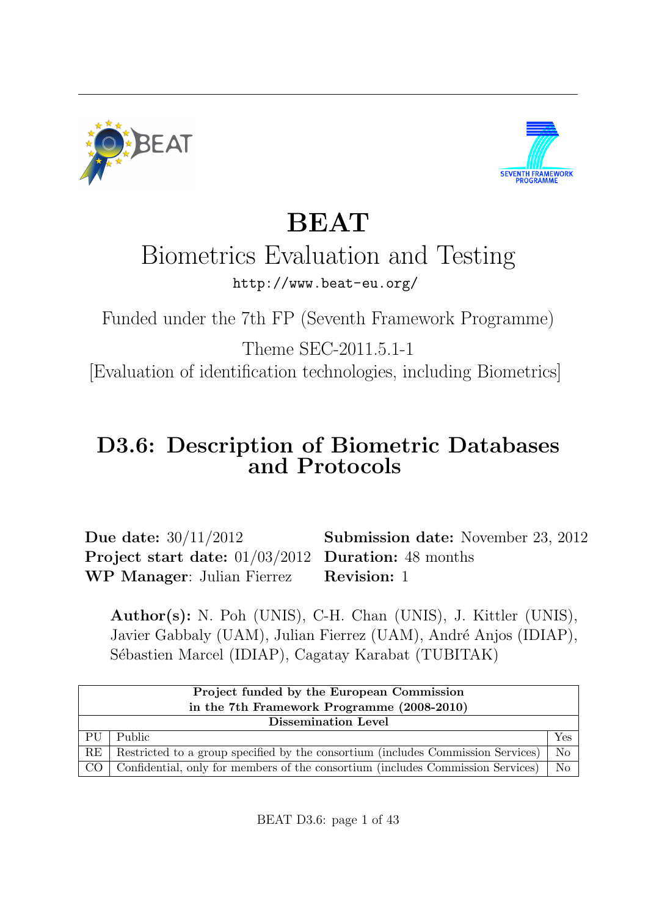



# BEAT

# Biometrics Evaluation and Testing <http://www.beat-eu.org/>

Funded under the 7th FP (Seventh Framework Programme) Theme SEC-2011.5.1-1

[Evaluation of identification technologies, including Biometrics]

# D3.6: Description of Biometric Databases and Protocols

Project start date: 01/03/2012 Duration: 48 months WP Manager: Julian Fierrez Revision: 1

Due date:  $30/11/2012$  Submission date: November 23, 2012

Author(s): N. Poh (UNIS), C-H. Chan (UNIS), J. Kittler (UNIS), Javier Gabbaly (UAM), Julian Fierrez (UAM), André Anjos (IDIAP), Sébastien Marcel (IDIAP), Cagatay Karabat (TUBITAK)

|                     | Project funded by the European Commission<br>in the 7th Framework Programme (2008-2010) |                |  |  |  |  |
|---------------------|-----------------------------------------------------------------------------------------|----------------|--|--|--|--|
| Dissemination Level |                                                                                         |                |  |  |  |  |
| PU                  | Public                                                                                  | Yes            |  |  |  |  |
| RE                  | Restricted to a group specified by the consortium (includes Commission Services)        | No             |  |  |  |  |
| CO                  | Confidential, only for members of the consortium (includes Commission Services)         | N <sub>o</sub> |  |  |  |  |

BEAT D3.6: page 1 of [43](#page-38-0)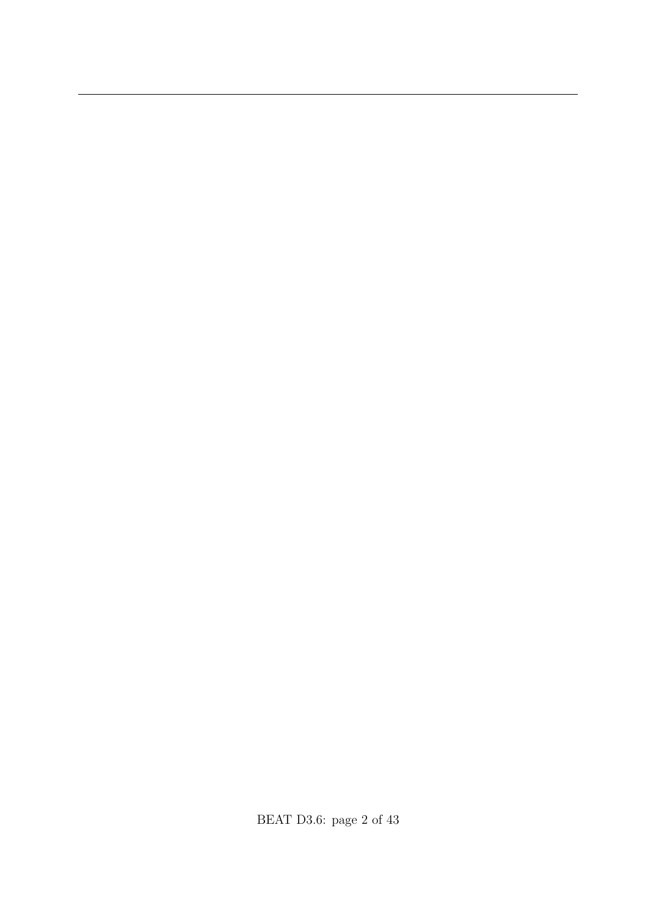BEAT D3.6: page 2 of [43](#page-38-0)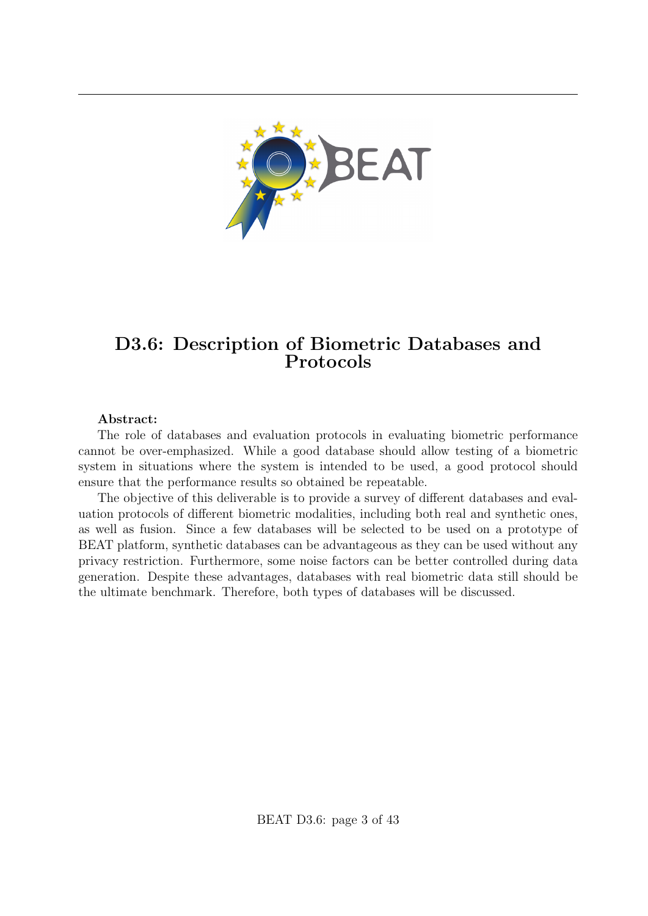

## D3.6: Description of Biometric Databases and Protocols

#### Abstract:

The role of databases and evaluation protocols in evaluating biometric performance cannot be over-emphasized. While a good database should allow testing of a biometric system in situations where the system is intended to be used, a good protocol should ensure that the performance results so obtained be repeatable.

The objective of this deliverable is to provide a survey of different databases and evaluation protocols of different biometric modalities, including both real and synthetic ones, as well as fusion. Since a few databases will be selected to be used on a prototype of BEAT platform, synthetic databases can be advantageous as they can be used without any privacy restriction. Furthermore, some noise factors can be better controlled during data generation. Despite these advantages, databases with real biometric data still should be the ultimate benchmark. Therefore, both types of databases will be discussed.

BEAT D3.6: page 3 of [43](#page-38-0)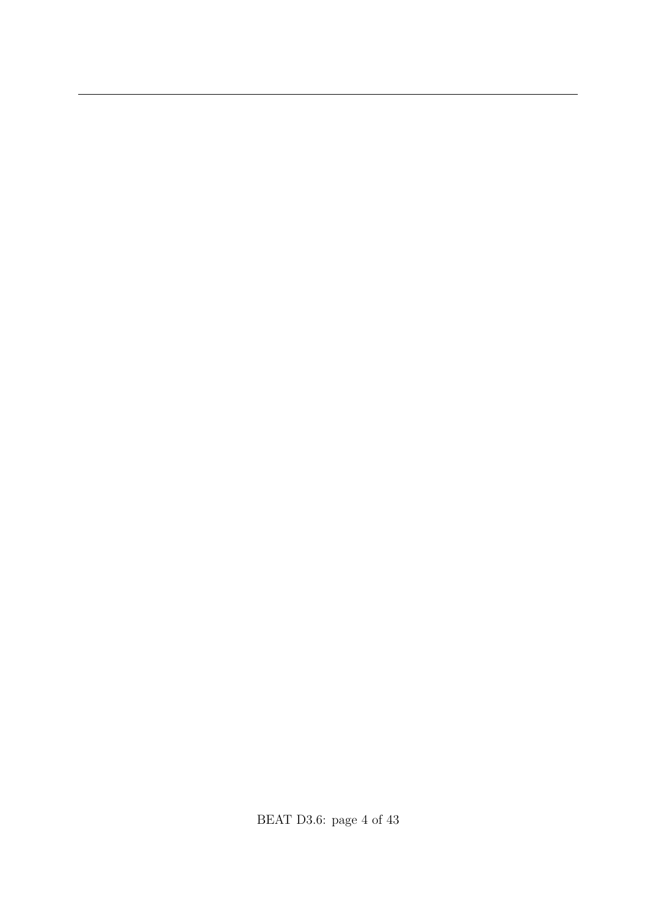BEAT D3.6: page 4 of [43](#page-38-0)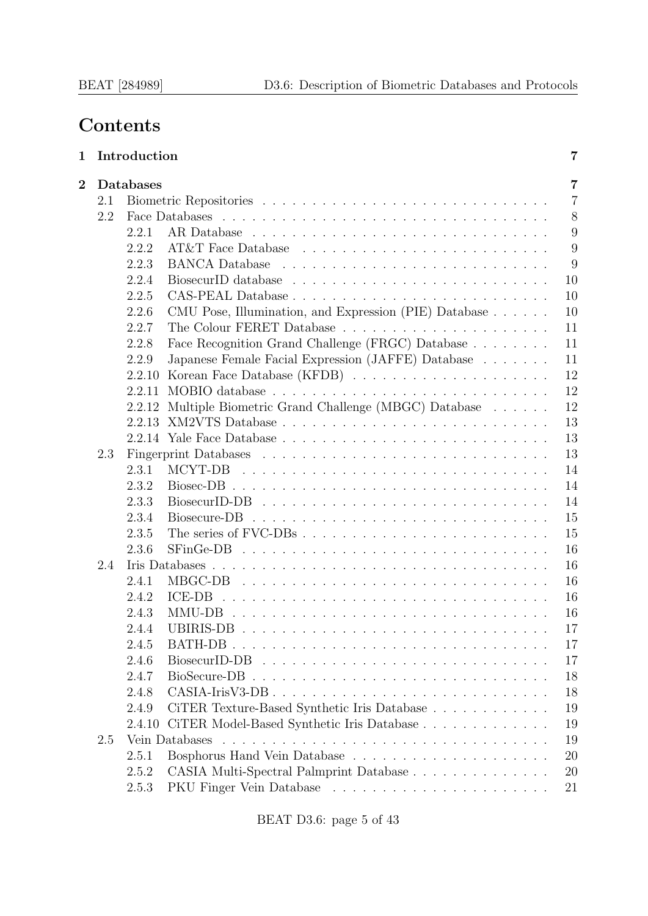# **Contents**

| 1              |     | Introduction |                                                          | 7              |
|----------------|-----|--------------|----------------------------------------------------------|----------------|
| $\overline{2}$ |     | Databases    |                                                          | $\overline{7}$ |
|                | 2.1 |              |                                                          | $\overline{7}$ |
|                | 2.2 |              |                                                          | 8              |
|                |     | 2.2.1        |                                                          | 9              |
|                |     | 2.2.2        | AT&T Face Database residences in the set of the Database | 9              |
|                |     | 2.2.3        | <b>BANCA</b> Database                                    | 9              |
|                |     | 2.2.4        |                                                          | 10             |
|                |     | 2.2.5        |                                                          | 10             |
|                |     | 2.2.6        | CMU Pose, Illumination, and Expression (PIE) Database    | 10             |
|                |     | 2.2.7        |                                                          | 11             |
|                |     | 2.2.8        | Face Recognition Grand Challenge (FRGC) Database         | 11             |
|                |     | 2.2.9        | Japanese Female Facial Expression (JAFFE) Database       | 11             |
|                |     |              |                                                          | 12             |
|                |     |              |                                                          | 12             |
|                |     | 2.2.12       | Multiple Biometric Grand Challenge (MBGC) Database       | 12             |
|                |     |              |                                                          | 13             |
|                |     |              |                                                          | 13             |
|                | 2.3 |              |                                                          | 13             |
|                |     | 2.3.1        | MCYT-DB                                                  | 14             |
|                |     | 2.3.2        |                                                          | 14             |
|                |     | 2.3.3        |                                                          | 14             |
|                |     | 2.3.4        |                                                          | 15             |
|                |     | 2.3.5        |                                                          | 15             |
|                |     | 2.3.6        |                                                          | 16             |
|                | 2.4 |              |                                                          | 16             |
|                |     | 2.4.1        |                                                          | 16             |
|                |     | 2.4.2        | ICE-DB                                                   | 16             |
|                |     | 2.4.3        | MMU-DB                                                   | 16             |
|                |     | 2.4.4        |                                                          | 17             |
|                |     | 2.4.5        |                                                          | 17             |
|                |     | 2.4.6        |                                                          | 17             |
|                |     | 2.4.7        | $\text{BioSecure-DB}$                                    | 18             |
|                |     | 2.4.8        | $CASIA-IrisV3-DB$                                        | 18             |
|                |     | 2.4.9        | CiTER Texture-Based Synthetic Iris Database              | 19             |
|                |     | 2.4.10       | CiTER Model-Based Synthetic Iris Database                | 19             |
|                | 2.5 |              | Vein Databases                                           | 19             |
|                |     | 2.5.1        |                                                          | 20             |
|                |     | 2.5.2        | CASIA Multi-Spectral Palmprint Database                  | 20             |
|                |     | 2.5.3        | 21                                                       |                |
|                |     |              |                                                          |                |

BEAT D3.6: page 5 of [43](#page-38-0)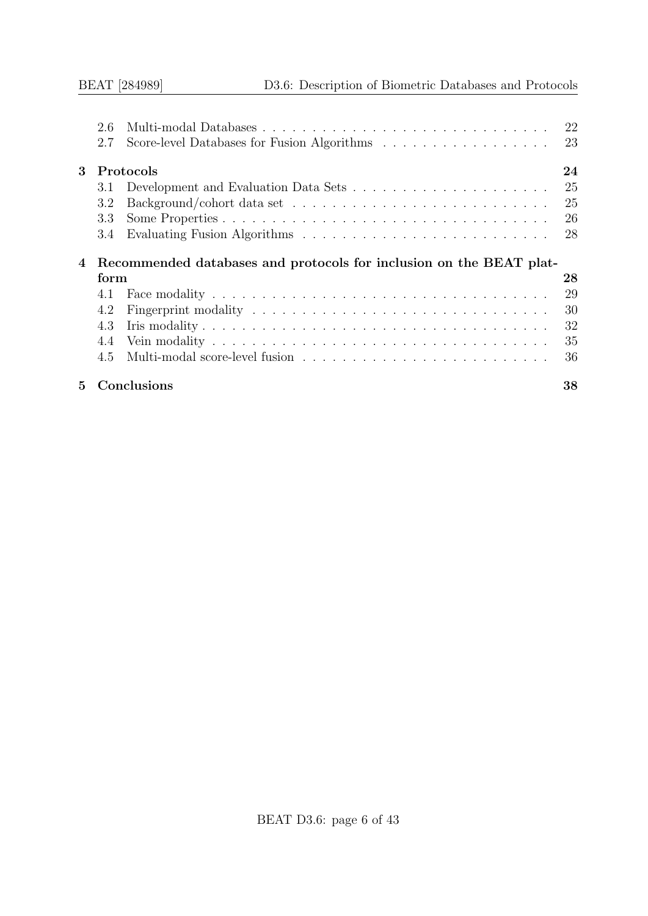|   | 2.6  |                                                                     | 22 |
|---|------|---------------------------------------------------------------------|----|
|   | 2.7  |                                                                     | 23 |
| 3 |      | Protocols                                                           | 24 |
|   | 3.1  |                                                                     | 25 |
|   | 3.2  |                                                                     | 25 |
|   | 3.3  |                                                                     | 26 |
|   | 3.4  |                                                                     | 28 |
|   |      |                                                                     |    |
|   | form | Recommended databases and protocols for inclusion on the BEAT plat- | 28 |
|   | 4.1  |                                                                     | 29 |
|   | 4.2  |                                                                     | 30 |
|   | 4.3  |                                                                     | 32 |
|   | 4.4  |                                                                     | 35 |
| 4 | 4.5  |                                                                     | 36 |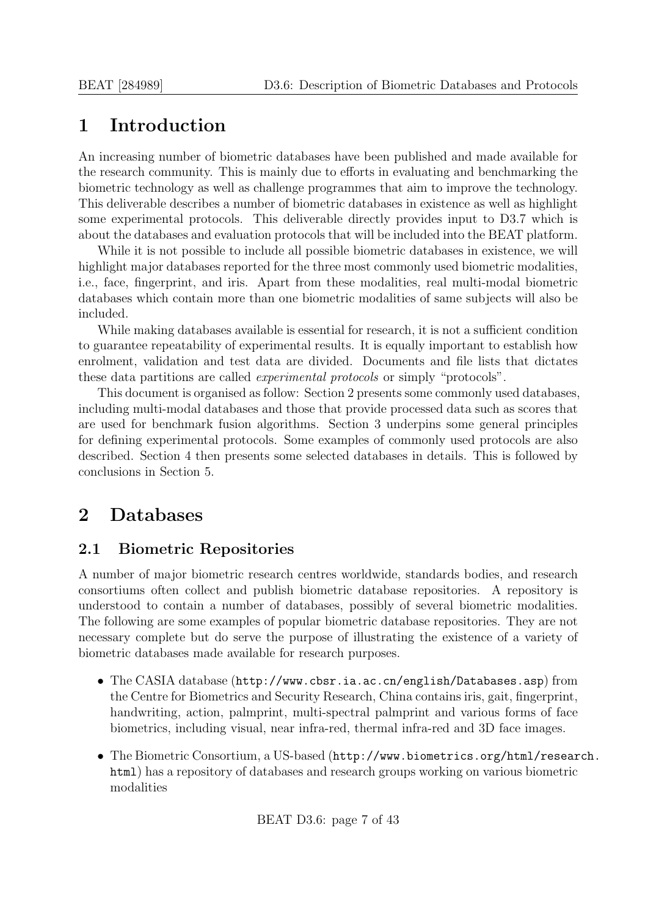# <span id="page-6-0"></span>1 Introduction

An increasing number of biometric databases have been published and made available for the research community. This is mainly due to efforts in evaluating and benchmarking the biometric technology as well as challenge programmes that aim to improve the technology. This deliverable describes a number of biometric databases in existence as well as highlight some experimental protocols. This deliverable directly provides input to D3.7 which is about the databases and evaluation protocols that will be included into the BEAT platform.

While it is not possible to include all possible biometric databases in existence, we will highlight major databases reported for the three most commonly used biometric modalities, i.e., face, fingerprint, and iris. Apart from these modalities, real multi-modal biometric databases which contain more than one biometric modalities of same subjects will also be included.

While making databases available is essential for research, it is not a sufficient condition to guarantee repeatability of experimental results. It is equally important to establish how enrolment, validation and test data are divided. Documents and file lists that dictates these data partitions are called experimental protocols or simply "protocols".

This document is organised as follow: Section [2](#page-6-1) presents some commonly used databases, including multi-modal databases and those that provide processed data such as scores that are used for benchmark fusion algorithms. Section [3](#page-23-0) underpins some general principles for defining experimental protocols. Some examples of commonly used protocols are also described. Section [4](#page-27-1) then presents some selected databases in details. This is followed by conclusions in Section [5.](#page-37-0)

# <span id="page-6-1"></span>2 Databases

## <span id="page-6-2"></span>2.1 Biometric Repositories

A number of major biometric research centres worldwide, standards bodies, and research consortiums often collect and publish biometric database repositories. A repository is understood to contain a number of databases, possibly of several biometric modalities. The following are some examples of popular biometric database repositories. They are not necessary complete but do serve the purpose of illustrating the existence of a variety of biometric databases made available for research purposes.

- The CASIA database (<http://www.cbsr.ia.ac.cn/english/Databases.asp>) from the Centre for Biometrics and Security Research, China contains iris, gait, fingerprint, handwriting, action, palmprint, multi-spectral palmprint and various forms of face biometrics, including visual, near infra-red, thermal infra-red and 3D face images.
- The Biometric Consortium, a US-based ([http://www.biometrics.org/html/resear](http://www.biometrics.org/html/research.html)ch. [html](http://www.biometrics.org/html/research.html)) has a repository of databases and research groups working on various biometric modalities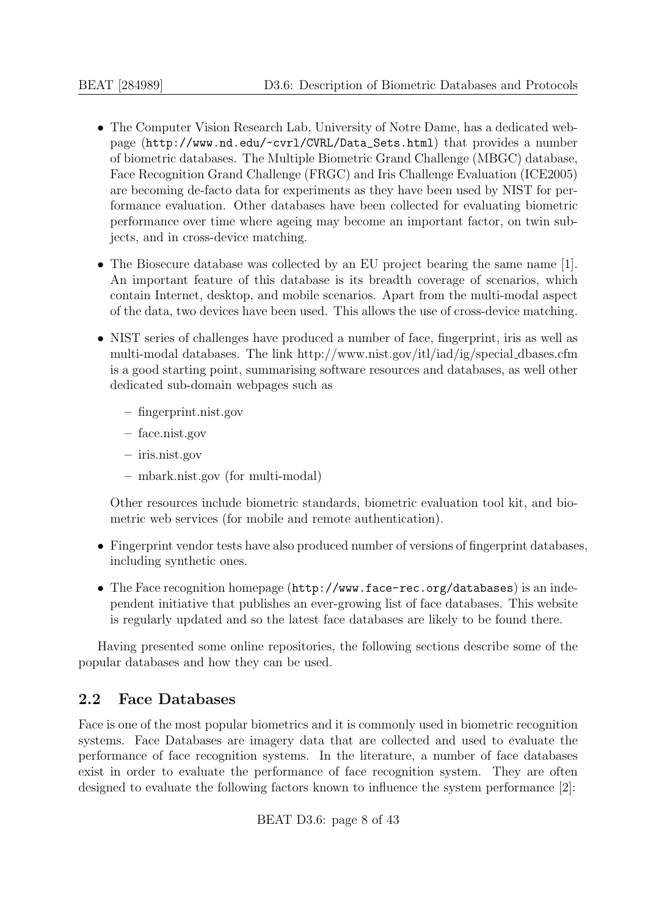- The Computer Vision Research Lab, University of Notre Dame, has a dedicated webpage ([http://www.nd.edu/~cvrl/CVRL/Data\\_Sets.html](http://www.nd.edu/~cvrl/CVRL/Data_Sets.html)) that provides a number of biometric databases. The Multiple Biometric Grand Challenge (MBGC) database, Face Recognition Grand Challenge (FRGC) and Iris Challenge Evaluation (ICE2005) are becoming de-facto data for experiments as they have been used by NIST for performance evaluation. Other databases have been collected for evaluating biometric performance over time where ageing may become an important factor, on twin subjects, and in cross-device matching.
- The Biosecure database was collected by an EU project bearing the same name [\[1\]](#page-38-1). An important feature of this database is its breadth coverage of scenarios, which contain Internet, desktop, and mobile scenarios. Apart from the multi-modal aspect of the data, two devices have been used. This allows the use of cross-device matching.
- NIST series of challenges have produced a number of face, fingerprint, iris as well as multi-modal databases. The link http://www.nist.gov/itl/iad/ig/special dbases.cfm is a good starting point, summarising software resources and databases, as well other dedicated sub-domain webpages such as
	- fingerprint.nist.gov
	- face.nist.gov
	- iris.nist.gov
	- mbark.nist.gov (for multi-modal)

Other resources include biometric standards, biometric evaluation tool kit, and biometric web services (for mobile and remote authentication).

- Fingerprint vendor tests have also produced number of versions of fingerprint databases, including synthetic ones.
- The Face recognition homepage (<http://www.face-rec.org/databases>) is an independent initiative that publishes an ever-growing list of face databases. This website is regularly updated and so the latest face databases are likely to be found there.

Having presented some online repositories, the following sections describe some of the popular databases and how they can be used.

## <span id="page-7-0"></span>2.2 Face Databases

Face is one of the most popular biometrics and it is commonly used in biometric recognition systems. Face Databases are imagery data that are collected and used to evaluate the performance of face recognition systems. In the literature, a number of face databases exist in order to evaluate the performance of face recognition system. They are often designed to evaluate the following factors known to influence the system performance [\[2\]](#page-38-2):

BEAT D3.6: page 8 of [43](#page-38-0)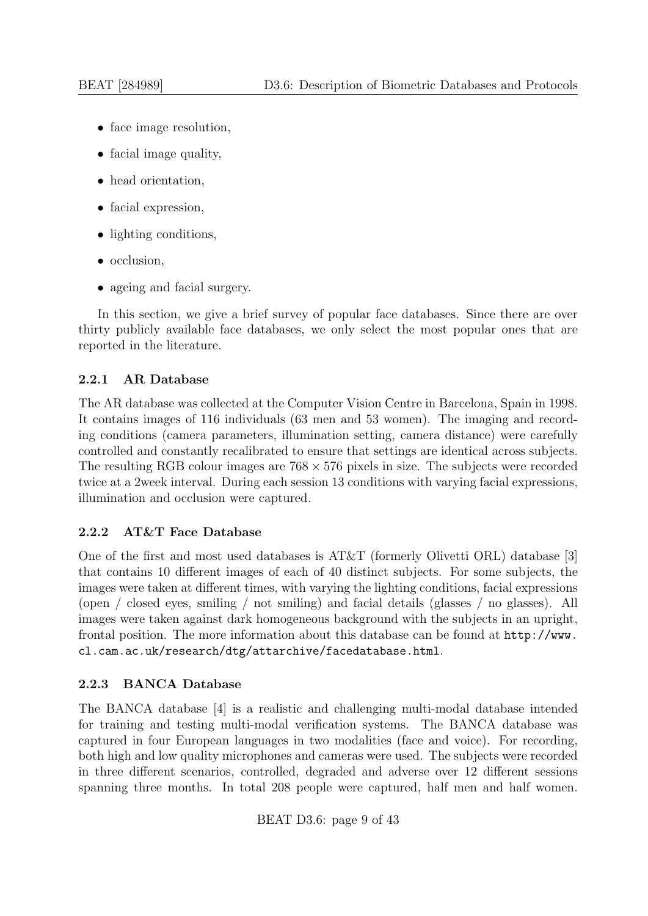- face image resolution,
- facial image quality,
- head orientation,
- facial expression,
- lighting conditions,
- occlusion,
- ageing and facial surgery.

In this section, we give a brief survey of popular face databases. Since there are over thirty publicly available face databases, we only select the most popular ones that are reported in the literature.

## <span id="page-8-0"></span>2.2.1 AR Database

The AR database was collected at the Computer Vision Centre in Barcelona, Spain in 1998. It contains images of 116 individuals (63 men and 53 women). The imaging and recording conditions (camera parameters, illumination setting, camera distance) were carefully controlled and constantly recalibrated to ensure that settings are identical across subjects. The resulting RGB colour images are  $768 \times 576$  pixels in size. The subjects were recorded twice at a 2week interval. During each session 13 conditions with varying facial expressions, illumination and occlusion were captured.

### <span id="page-8-1"></span>2.2.2 AT&T Face Database

One of the first and most used databases is AT&T (formerly Olivetti ORL) database [\[3\]](#page-38-3) that contains 10 different images of each of 40 distinct subjects. For some subjects, the images were taken at different times, with varying the lighting conditions, facial expressions (open / closed eyes, smiling / not smiling) and facial details (glasses / no glasses). All images were taken against dark homogeneous background with the subjects in an upright, frontal position. The more information about this database can be found at [http://www.](http://www.cl.cam.ac.uk/research/dtg/attarchive/facedatabase.html) [cl.cam.ac.uk/research/dtg/attarchive/facedatabase.html](http://www.cl.cam.ac.uk/research/dtg/attarchive/facedatabase.html).

### <span id="page-8-2"></span>2.2.3 BANCA Database

The BANCA database [\[4\]](#page-38-4) is a realistic and challenging multi-modal database intended for training and testing multi-modal verification systems. The BANCA database was captured in four European languages in two modalities (face and voice). For recording, both high and low quality microphones and cameras were used. The subjects were recorded in three different scenarios, controlled, degraded and adverse over 12 different sessions spanning three months. In total 208 people were captured, half men and half women.

BEAT D3.6: page 9 of [43](#page-38-0)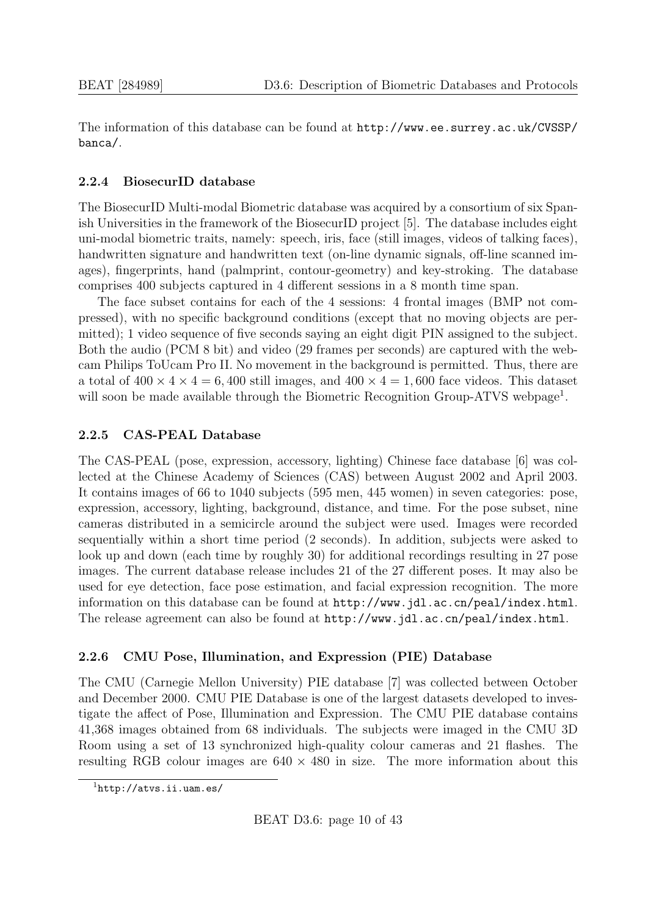The information of this database can be found at [http://www.ee.surrey.ac.uk/CVSSP/](http://www.ee.surrey.ac.uk/CVSSP/banca/) [banca/](http://www.ee.surrey.ac.uk/CVSSP/banca/).

## <span id="page-9-0"></span>2.2.4 BiosecurID database

The BiosecurID Multi-modal Biometric database was acquired by a consortium of six Spanish Universities in the framework of the BiosecurID project [\[5\]](#page-38-5). The database includes eight uni-modal biometric traits, namely: speech, iris, face (still images, videos of talking faces), handwritten signature and handwritten text (on-line dynamic signals, off-line scanned images), fingerprints, hand (palmprint, contour-geometry) and key-stroking. The database comprises 400 subjects captured in 4 different sessions in a 8 month time span.

The face subset contains for each of the 4 sessions: 4 frontal images (BMP not compressed), with no specific background conditions (except that no moving objects are permitted); 1 video sequence of five seconds saying an eight digit PIN assigned to the subject. Both the audio (PCM 8 bit) and video (29 frames per seconds) are captured with the webcam Philips ToUcam Pro II. No movement in the background is permitted. Thus, there are a total of  $400 \times 4 \times 4 = 6,400$  still images, and  $400 \times 4 = 1,600$  face videos. This dataset will soon be made available through the Biometric Recognition Group-ATVS webpage<sup>[1](#page-9-3)</sup>.

## <span id="page-9-1"></span>2.2.5 CAS-PEAL Database

The CAS-PEAL (pose, expression, accessory, lighting) Chinese face database [\[6\]](#page-38-6) was collected at the Chinese Academy of Sciences (CAS) between August 2002 and April 2003. It contains images of 66 to 1040 subjects (595 men, 445 women) in seven categories: pose, expression, accessory, lighting, background, distance, and time. For the pose subset, nine cameras distributed in a semicircle around the subject were used. Images were recorded sequentially within a short time period (2 seconds). In addition, subjects were asked to look up and down (each time by roughly 30) for additional recordings resulting in 27 pose images. The current database release includes 21 of the 27 different poses. It may also be used for eye detection, face pose estimation, and facial expression recognition. The more information on this database can be found at <http://www.jdl.ac.cn/peal/index.html>. The release agreement can also be found at <http://www.jdl.ac.cn/peal/index.html>.

## <span id="page-9-2"></span>2.2.6 CMU Pose, Illumination, and Expression (PIE) Database

The CMU (Carnegie Mellon University) PIE database [\[7\]](#page-38-7) was collected between October and December 2000. CMU PIE Database is one of the largest datasets developed to investigate the affect of Pose, Illumination and Expression. The CMU PIE database contains 41,368 images obtained from 68 individuals. The subjects were imaged in the CMU 3D Room using a set of 13 synchronized high-quality colour cameras and 21 flashes. The resulting RGB colour images are  $640 \times 480$  in size. The more information about this

<span id="page-9-3"></span> $1$ <http://atvs.ii.uam.es/>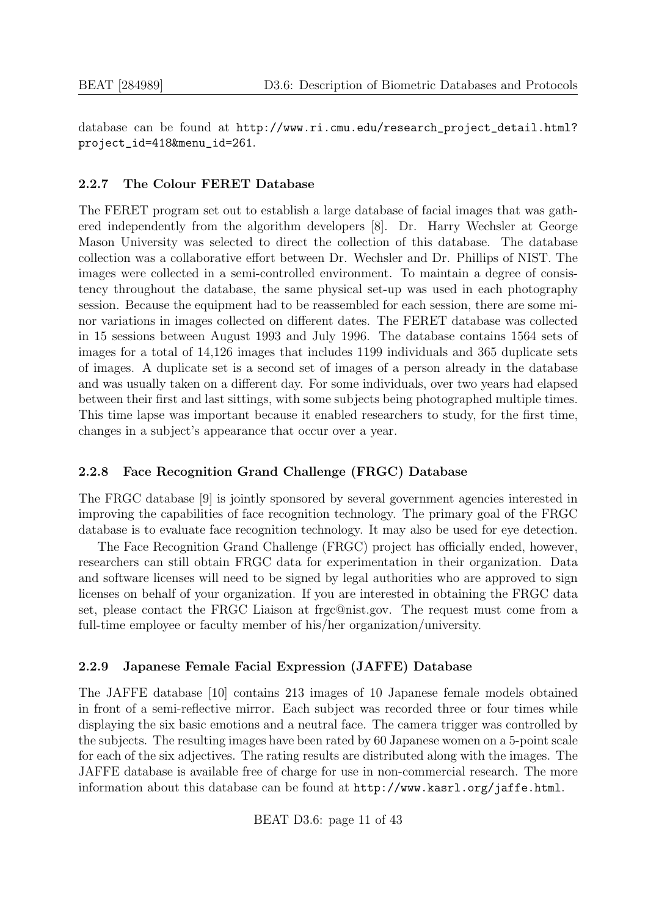database can be found at [http://www.ri.cmu.edu/research\\_project\\_detail.html?](http://www.ri.cmu.edu/research_project_detail.html?project_id=418&menu_id=261) [project\\_id=418&menu\\_id=261](http://www.ri.cmu.edu/research_project_detail.html?project_id=418&menu_id=261).

#### <span id="page-10-0"></span>2.2.7 The Colour FERET Database

The FERET program set out to establish a large database of facial images that was gathered independently from the algorithm developers [\[8\]](#page-38-8). Dr. Harry Wechsler at George Mason University was selected to direct the collection of this database. The database collection was a collaborative effort between Dr. Wechsler and Dr. Phillips of NIST. The images were collected in a semi-controlled environment. To maintain a degree of consistency throughout the database, the same physical set-up was used in each photography session. Because the equipment had to be reassembled for each session, there are some minor variations in images collected on different dates. The FERET database was collected in 15 sessions between August 1993 and July 1996. The database contains 1564 sets of images for a total of 14,126 images that includes 1199 individuals and 365 duplicate sets of images. A duplicate set is a second set of images of a person already in the database and was usually taken on a different day. For some individuals, over two years had elapsed between their first and last sittings, with some subjects being photographed multiple times. This time lapse was important because it enabled researchers to study, for the first time, changes in a subject's appearance that occur over a year.

#### <span id="page-10-1"></span>2.2.8 Face Recognition Grand Challenge (FRGC) Database

The FRGC database [\[9\]](#page-38-9) is jointly sponsored by several government agencies interested in improving the capabilities of face recognition technology. The primary goal of the FRGC database is to evaluate face recognition technology. It may also be used for eye detection.

The Face Recognition Grand Challenge (FRGC) project has officially ended, however, researchers can still obtain FRGC data for experimentation in their organization. Data and software licenses will need to be signed by legal authorities who are approved to sign licenses on behalf of your organization. If you are interested in obtaining the FRGC data set, please contact the FRGC Liaison at frgc@nist.gov. The request must come from a full-time employee or faculty member of his/her organization/university.

#### <span id="page-10-2"></span>2.2.9 Japanese Female Facial Expression (JAFFE) Database

The JAFFE database [\[10\]](#page-39-0) contains 213 images of 10 Japanese female models obtained in front of a semi-reflective mirror. Each subject was recorded three or four times while displaying the six basic emotions and a neutral face. The camera trigger was controlled by the subjects. The resulting images have been rated by 60 Japanese women on a 5-point scale for each of the six adjectives. The rating results are distributed along with the images. The JAFFE database is available free of charge for use in non-commercial research. The more information about this database can be found at <http://www.kasrl.org/jaffe.html>.

BEAT D3.6: page 11 of [43](#page-38-0)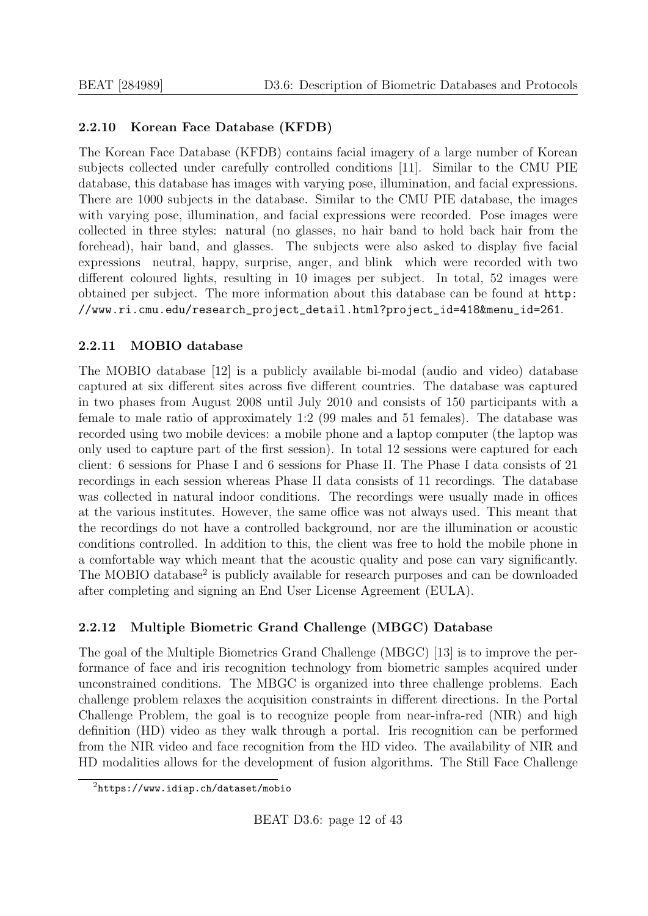## <span id="page-11-0"></span>2.2.10 Korean Face Database (KFDB)

The Korean Face Database (KFDB) contains facial imagery of a large number of Korean subjects collected under carefully controlled conditions [\[11\]](#page-39-1). Similar to the CMU PIE database, this database has images with varying pose, illumination, and facial expressions. There are 1000 subjects in the database. Similar to the CMU PIE database, the images with varying pose, illumination, and facial expressions were recorded. Pose images were collected in three styles: natural (no glasses, no hair band to hold back hair from the forehead), hair band, and glasses. The subjects were also asked to display five facial expressions neutral, happy, surprise, anger, and blink which were recorded with two different coloured lights, resulting in 10 images per subject. In total, 52 images were obtained per subject. The more information about this database can be found at [http:](http://www.ri.cmu.edu/research_project_detail.html?project_id=418&menu_id=261) [//www.ri.cmu.edu/research\\_project\\_detail.html?project\\_id=418&menu\\_id=261](http://www.ri.cmu.edu/research_project_detail.html?project_id=418&menu_id=261).

## <span id="page-11-1"></span>2.2.11 MOBIO database

The MOBIO database [\[12\]](#page-39-2) is a publicly available bi-modal (audio and video) database captured at six different sites across five different countries. The database was captured in two phases from August 2008 until July 2010 and consists of 150 participants with a female to male ratio of approximately 1:2 (99 males and 51 females). The database was recorded using two mobile devices: a mobile phone and a laptop computer (the laptop was only used to capture part of the first session). In total 12 sessions were captured for each client: 6 sessions for Phase I and 6 sessions for Phase II. The Phase I data consists of 21 recordings in each session whereas Phase II data consists of 11 recordings. The database was collected in natural indoor conditions. The recordings were usually made in offices at the various institutes. However, the same office was not always used. This meant that the recordings do not have a controlled background, nor are the illumination or acoustic conditions controlled. In addition to this, the client was free to hold the mobile phone in a comfortable way which meant that the acoustic quality and pose can vary significantly. The MOBIO database<sup>[2](#page-11-3)</sup> is publicly available for research purposes and can be downloaded after completing and signing an End User License Agreement (EULA).

## <span id="page-11-2"></span>2.2.12 Multiple Biometric Grand Challenge (MBGC) Database

The goal of the Multiple Biometrics Grand Challenge (MBGC) [\[13\]](#page-39-3) is to improve the performance of face and iris recognition technology from biometric samples acquired under unconstrained conditions. The MBGC is organized into three challenge problems. Each challenge problem relaxes the acquisition constraints in different directions. In the Portal Challenge Problem, the goal is to recognize people from near-infra-red (NIR) and high definition (HD) video as they walk through a portal. Iris recognition can be performed from the NIR video and face recognition from the HD video. The availability of NIR and HD modalities allows for the development of fusion algorithms. The Still Face Challenge

BEAT D3.6: page 12 of [43](#page-38-0)

<span id="page-11-3"></span> $^{2}$ <https://www.idiap.ch/dataset/mobio>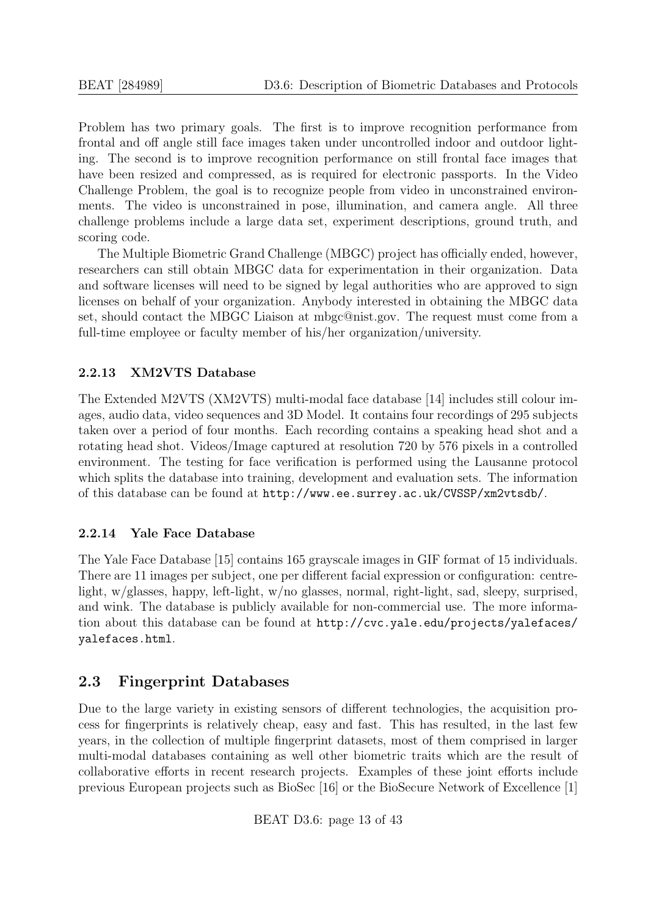Problem has two primary goals. The first is to improve recognition performance from frontal and off angle still face images taken under uncontrolled indoor and outdoor lighting. The second is to improve recognition performance on still frontal face images that have been resized and compressed, as is required for electronic passports. In the Video Challenge Problem, the goal is to recognize people from video in unconstrained environments. The video is unconstrained in pose, illumination, and camera angle. All three challenge problems include a large data set, experiment descriptions, ground truth, and scoring code.

The Multiple Biometric Grand Challenge (MBGC) project has officially ended, however, researchers can still obtain MBGC data for experimentation in their organization. Data and software licenses will need to be signed by legal authorities who are approved to sign licenses on behalf of your organization. Anybody interested in obtaining the MBGC data set, should contact the MBGC Liaison at mbgc@nist.gov. The request must come from a full-time employee or faculty member of his/her organization/university.

#### <span id="page-12-0"></span>2.2.13 XM2VTS Database

The Extended M2VTS (XM2VTS) multi-modal face database [\[14\]](#page-39-4) includes still colour images, audio data, video sequences and 3D Model. It contains four recordings of 295 subjects taken over a period of four months. Each recording contains a speaking head shot and a rotating head shot. Videos/Image captured at resolution 720 by 576 pixels in a controlled environment. The testing for face verification is performed using the Lausanne protocol which splits the database into training, development and evaluation sets. The information of this database can be found at <http://www.ee.surrey.ac.uk/CVSSP/xm2vtsdb/>.

#### <span id="page-12-1"></span>2.2.14 Yale Face Database

The Yale Face Database [\[15\]](#page-39-5) contains 165 grayscale images in GIF format of 15 individuals. There are 11 images per subject, one per different facial expression or configuration: centrelight, w/glasses, happy, left-light, w/no glasses, normal, right-light, sad, sleepy, surprised, and wink. The database is publicly available for non-commercial use. The more information about this database can be found at [http://cvc.yale.edu/projects/yalefaces/](http://cvc.yale.edu/projects/yalefaces/yalefaces.html) [yalefaces.html](http://cvc.yale.edu/projects/yalefaces/yalefaces.html).

## <span id="page-12-2"></span>2.3 Fingerprint Databases

Due to the large variety in existing sensors of different technologies, the acquisition process for fingerprints is relatively cheap, easy and fast. This has resulted, in the last few years, in the collection of multiple fingerprint datasets, most of them comprised in larger multi-modal databases containing as well other biometric traits which are the result of collaborative efforts in recent research projects. Examples of these joint efforts include previous European projects such as BioSec [\[16\]](#page-39-6) or the BioSecure Network of Excellence [\[1\]](#page-38-1)

BEAT D3.6: page 13 of [43](#page-38-0)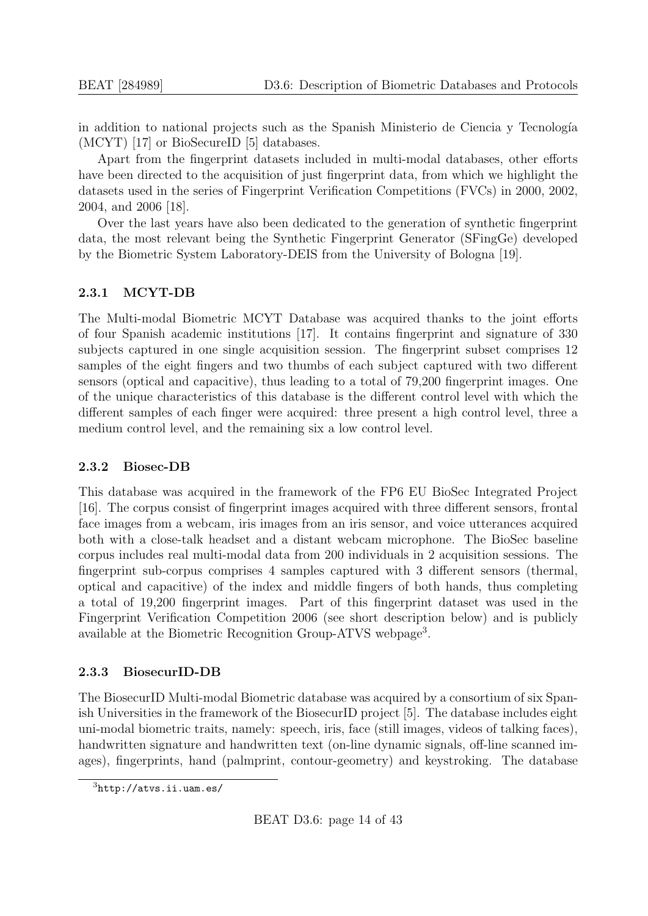in addition to national projects such as the Spanish Ministerio de Ciencia y Tecnología (MCYT) [\[17\]](#page-39-7) or BioSecureID [\[5\]](#page-38-5) databases.

Apart from the fingerprint datasets included in multi-modal databases, other efforts have been directed to the acquisition of just fingerprint data, from which we highlight the datasets used in the series of Fingerprint Verification Competitions (FVCs) in 2000, 2002, 2004, and 2006 [\[18\]](#page-39-8).

Over the last years have also been dedicated to the generation of synthetic fingerprint data, the most relevant being the Synthetic Fingerprint Generator (SFingGe) developed by the Biometric System Laboratory-DEIS from the University of Bologna [\[19\]](#page-40-0).

### <span id="page-13-0"></span>2.3.1 MCYT-DB

The Multi-modal Biometric MCYT Database was acquired thanks to the joint efforts of four Spanish academic institutions [\[17\]](#page-39-7). It contains fingerprint and signature of 330 subjects captured in one single acquisition session. The fingerprint subset comprises 12 samples of the eight fingers and two thumbs of each subject captured with two different sensors (optical and capacitive), thus leading to a total of 79,200 fingerprint images. One of the unique characteristics of this database is the different control level with which the different samples of each finger were acquired: three present a high control level, three a medium control level, and the remaining six a low control level.

#### <span id="page-13-1"></span>2.3.2 Biosec-DB

This database was acquired in the framework of the FP6 EU BioSec Integrated Project [\[16\]](#page-39-6). The corpus consist of fingerprint images acquired with three different sensors, frontal face images from a webcam, iris images from an iris sensor, and voice utterances acquired both with a close-talk headset and a distant webcam microphone. The BioSec baseline corpus includes real multi-modal data from 200 individuals in 2 acquisition sessions. The fingerprint sub-corpus comprises 4 samples captured with 3 different sensors (thermal, optical and capacitive) of the index and middle fingers of both hands, thus completing a total of 19,200 fingerprint images. Part of this fingerprint dataset was used in the Fingerprint Verification Competition 2006 (see short description below) and is publicly available at the Biometric Recognition Group-ATVS webpage<sup>[3](#page-13-3)</sup>.

#### <span id="page-13-2"></span>2.3.3 BiosecurID-DB

The BiosecurID Multi-modal Biometric database was acquired by a consortium of six Spanish Universities in the framework of the BiosecurID project [\[5\]](#page-38-5). The database includes eight uni-modal biometric traits, namely: speech, iris, face (still images, videos of talking faces), handwritten signature and handwritten text (on-line dynamic signals, off-line scanned images), fingerprints, hand (palmprint, contour-geometry) and keystroking. The database

BEAT D3.6: page 14 of [43](#page-38-0)

<span id="page-13-3"></span> $3$ <http://atvs.ii.uam.es/>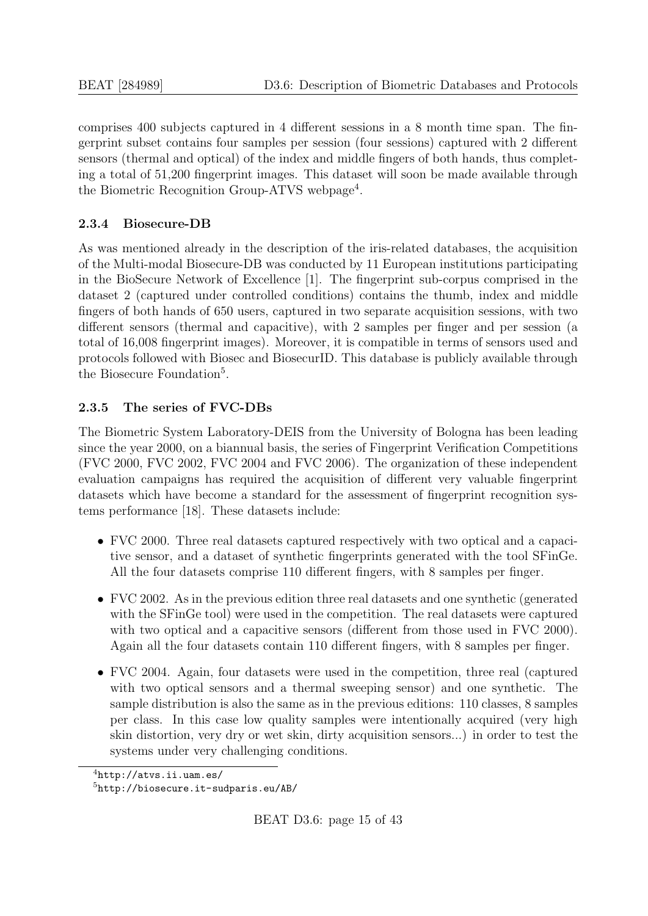comprises 400 subjects captured in 4 different sessions in a 8 month time span. The fingerprint subset contains four samples per session (four sessions) captured with 2 different sensors (thermal and optical) of the index and middle fingers of both hands, thus completing a total of 51,200 fingerprint images. This dataset will soon be made available through the Biometric Recognition Group-ATVS webpage<sup>[4](#page-14-2)</sup>.

### <span id="page-14-0"></span>2.3.4 Biosecure-DB

As was mentioned already in the description of the iris-related databases, the acquisition of the Multi-modal Biosecure-DB was conducted by 11 European institutions participating in the BioSecure Network of Excellence [\[1\]](#page-38-1). The fingerprint sub-corpus comprised in the dataset 2 (captured under controlled conditions) contains the thumb, index and middle fingers of both hands of 650 users, captured in two separate acquisition sessions, with two different sensors (thermal and capacitive), with 2 samples per finger and per session (a total of 16,008 fingerprint images). Moreover, it is compatible in terms of sensors used and protocols followed with Biosec and BiosecurID. This database is publicly available through the Biosecure Foundation<sup>[5](#page-14-3)</sup>.

### <span id="page-14-1"></span>2.3.5 The series of FVC-DBs

The Biometric System Laboratory-DEIS from the University of Bologna has been leading since the year 2000, on a biannual basis, the series of Fingerprint Verification Competitions (FVC 2000, FVC 2002, FVC 2004 and FVC 2006). The organization of these independent evaluation campaigns has required the acquisition of different very valuable fingerprint datasets which have become a standard for the assessment of fingerprint recognition systems performance [\[18\]](#page-39-8). These datasets include:

- FVC 2000. Three real datasets captured respectively with two optical and a capacitive sensor, and a dataset of synthetic fingerprints generated with the tool SFinGe. All the four datasets comprise 110 different fingers, with 8 samples per finger.
- FVC 2002. As in the previous edition three real datasets and one synthetic (generated with the SFinGe tool) were used in the competition. The real datasets were captured with two optical and a capacitive sensors (different from those used in FVC 2000). Again all the four datasets contain 110 different fingers, with 8 samples per finger.
- FVC 2004. Again, four datasets were used in the competition, three real (captured with two optical sensors and a thermal sweeping sensor) and one synthetic. The sample distribution is also the same as in the previous editions: 110 classes, 8 samples per class. In this case low quality samples were intentionally acquired (very high skin distortion, very dry or wet skin, dirty acquisition sensors...) in order to test the systems under very challenging conditions.

BEAT D3.6: page 15 of [43](#page-38-0)

<span id="page-14-2"></span> $4$ <http://atvs.ii.uam.es/>

<span id="page-14-3"></span><sup>5</sup><http://biosecure.it-sudparis.eu/AB/>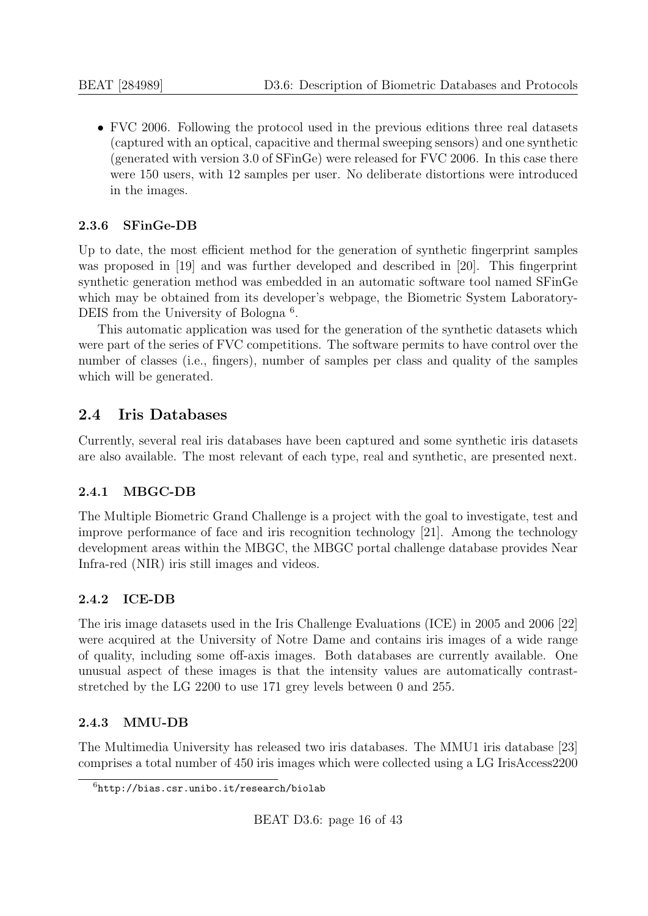• FVC 2006. Following the protocol used in the previous editions three real datasets (captured with an optical, capacitive and thermal sweeping sensors) and one synthetic (generated with version 3.0 of SFinGe) were released for FVC 2006. In this case there were 150 users, with 12 samples per user. No deliberate distortions were introduced in the images.

## <span id="page-15-0"></span>2.3.6 SFinGe-DB

Up to date, the most efficient method for the generation of synthetic fingerprint samples was proposed in [\[19\]](#page-40-0) and was further developed and described in [\[20\]](#page-40-1). This fingerprint synthetic generation method was embedded in an automatic software tool named SFinGe which may be obtained from its developer's webpage, the Biometric System Laboratory-DEIS from the University of Bologna<sup>[6](#page-15-5)</sup>.

This automatic application was used for the generation of the synthetic datasets which were part of the series of FVC competitions. The software permits to have control over the number of classes (i.e., fingers), number of samples per class and quality of the samples which will be generated.

## <span id="page-15-1"></span>2.4 Iris Databases

Currently, several real iris databases have been captured and some synthetic iris datasets are also available. The most relevant of each type, real and synthetic, are presented next.

## <span id="page-15-2"></span>2.4.1 MBGC-DB

The Multiple Biometric Grand Challenge is a project with the goal to investigate, test and improve performance of face and iris recognition technology [\[21\]](#page-40-2). Among the technology development areas within the MBGC, the MBGC portal challenge database provides Near Infra-red (NIR) iris still images and videos.

## <span id="page-15-3"></span>2.4.2 ICE-DB

The iris image datasets used in the Iris Challenge Evaluations (ICE) in 2005 and 2006 [\[22\]](#page-40-3) were acquired at the University of Notre Dame and contains iris images of a wide range of quality, including some off-axis images. Both databases are currently available. One unusual aspect of these images is that the intensity values are automatically contraststretched by the LG 2200 to use 171 grey levels between 0 and 255.

### <span id="page-15-4"></span>2.4.3 MMU-DB

The Multimedia University has released two iris databases. The MMU1 iris database [\[23\]](#page-40-4) comprises a total number of 450 iris images which were collected using a LG IrisAccess2200

BEAT D3.6: page 16 of [43](#page-38-0)

<span id="page-15-5"></span> $6$ <http://bias.csr.unibo.it/research/biolab>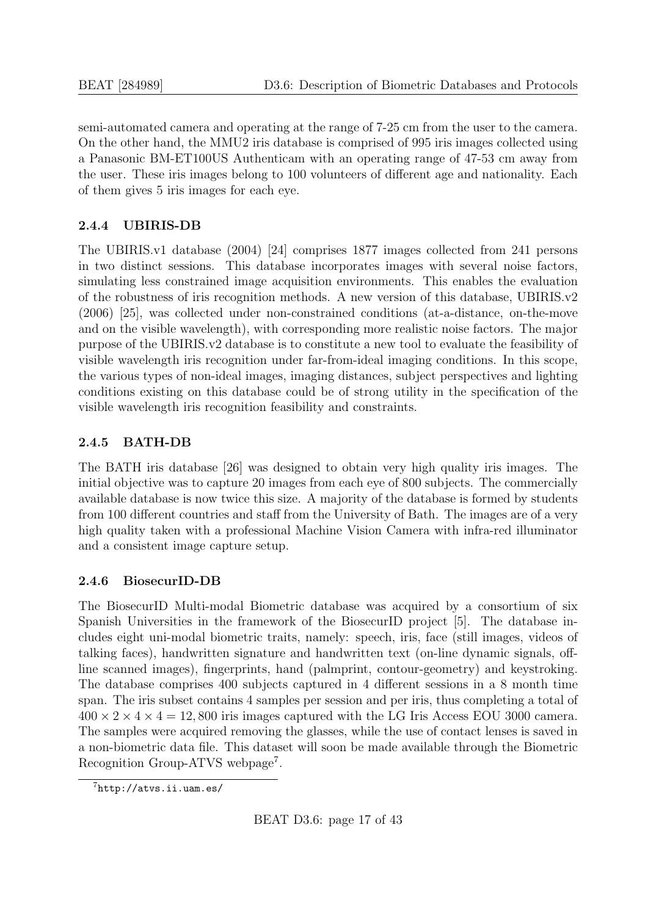semi-automated camera and operating at the range of 7-25 cm from the user to the camera. On the other hand, the MMU2 iris database is comprised of 995 iris images collected using a Panasonic BM-ET100US Authenticam with an operating range of 47-53 cm away from the user. These iris images belong to 100 volunteers of different age and nationality. Each of them gives 5 iris images for each eye.

## <span id="page-16-0"></span>2.4.4 UBIRIS-DB

The UBIRIS.v1 database (2004) [\[24\]](#page-40-5) comprises 1877 images collected from 241 persons in two distinct sessions. This database incorporates images with several noise factors, simulating less constrained image acquisition environments. This enables the evaluation of the robustness of iris recognition methods. A new version of this database, UBIRIS.v2 (2006) [\[25\]](#page-40-6), was collected under non-constrained conditions (at-a-distance, on-the-move and on the visible wavelength), with corresponding more realistic noise factors. The major purpose of the UBIRIS.v2 database is to constitute a new tool to evaluate the feasibility of visible wavelength iris recognition under far-from-ideal imaging conditions. In this scope, the various types of non-ideal images, imaging distances, subject perspectives and lighting conditions existing on this database could be of strong utility in the specification of the visible wavelength iris recognition feasibility and constraints.

## <span id="page-16-1"></span>2.4.5 BATH-DB

The BATH iris database [\[26\]](#page-40-7) was designed to obtain very high quality iris images. The initial objective was to capture 20 images from each eye of 800 subjects. The commercially available database is now twice this size. A majority of the database is formed by students from 100 different countries and staff from the University of Bath. The images are of a very high quality taken with a professional Machine Vision Camera with infra-red illuminator and a consistent image capture setup.

## <span id="page-16-2"></span>2.4.6 BiosecurID-DB

The BiosecurID Multi-modal Biometric database was acquired by a consortium of six Spanish Universities in the framework of the BiosecurID project [\[5\]](#page-38-5). The database includes eight uni-modal biometric traits, namely: speech, iris, face (still images, videos of talking faces), handwritten signature and handwritten text (on-line dynamic signals, offline scanned images), fingerprints, hand (palmprint, contour-geometry) and keystroking. The database comprises 400 subjects captured in 4 different sessions in a 8 month time span. The iris subset contains 4 samples per session and per iris, thus completing a total of  $400 \times 2 \times 4 \times 4 = 12,800$  iris images captured with the LG Iris Access EOU 3000 camera. The samples were acquired removing the glasses, while the use of contact lenses is saved in a non-biometric data file. This dataset will soon be made available through the Biometric Recognition Group-ATVS webpage[7](#page-16-3) .

<span id="page-16-3"></span> $7$ <http://atvs.ii.uam.es/>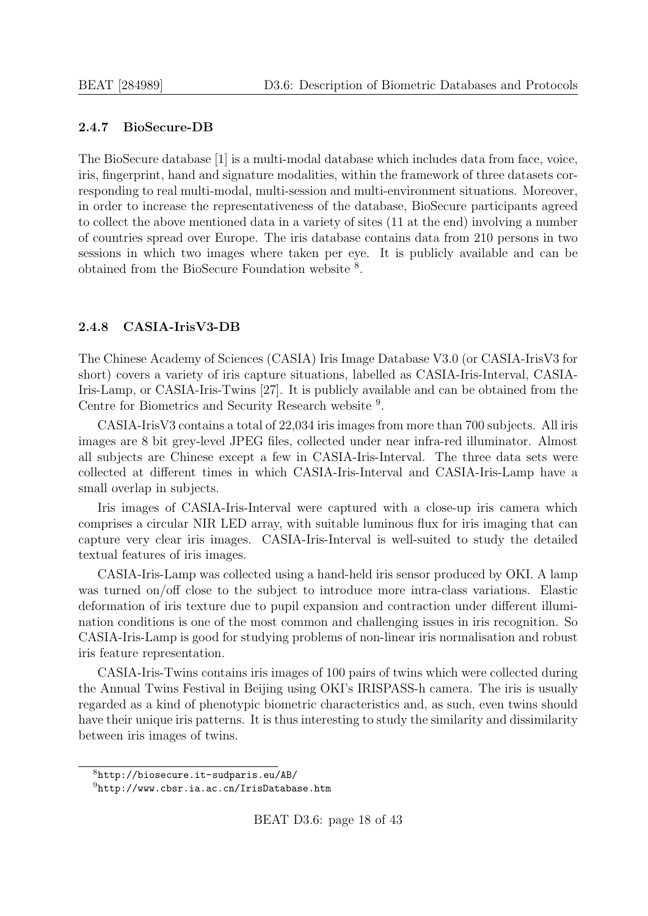#### <span id="page-17-0"></span>2.4.7 BioSecure-DB

The BioSecure database [\[1\]](#page-38-1) is a multi-modal database which includes data from face, voice, iris, fingerprint, hand and signature modalities, within the framework of three datasets corresponding to real multi-modal, multi-session and multi-environment situations. Moreover, in order to increase the representativeness of the database, BioSecure participants agreed to collect the above mentioned data in a variety of sites (11 at the end) involving a number of countries spread over Europe. The iris database contains data from 210 persons in two sessions in which two images where taken per eye. It is publicly available and can be obtained from the BioSecure Foundation website [8](#page-17-2) .

#### <span id="page-17-1"></span>2.4.8 CASIA-IrisV3-DB

The Chinese Academy of Sciences (CASIA) Iris Image Database V3.0 (or CASIA-IrisV3 for short) covers a variety of iris capture situations, labelled as CASIA-Iris-Interval, CASIA-Iris-Lamp, or CASIA-Iris-Twins [\[27\]](#page-40-8). It is publicly available and can be obtained from the Centre for Biometrics and Security Research website <sup>[9](#page-17-3)</sup>.

CASIA-IrisV3 contains a total of 22,034 iris images from more than 700 subjects. All iris images are 8 bit grey-level JPEG files, collected under near infra-red illuminator. Almost all subjects are Chinese except a few in CASIA-Iris-Interval. The three data sets were collected at different times in which CASIA-Iris-Interval and CASIA-Iris-Lamp have a small overlap in subjects.

Iris images of CASIA-Iris-Interval were captured with a close-up iris camera which comprises a circular NIR LED array, with suitable luminous flux for iris imaging that can capture very clear iris images. CASIA-Iris-Interval is well-suited to study the detailed textual features of iris images.

CASIA-Iris-Lamp was collected using a hand-held iris sensor produced by OKI. A lamp was turned on/off close to the subject to introduce more intra-class variations. Elastic deformation of iris texture due to pupil expansion and contraction under different illumination conditions is one of the most common and challenging issues in iris recognition. So CASIA-Iris-Lamp is good for studying problems of non-linear iris normalisation and robust iris feature representation.

CASIA-Iris-Twins contains iris images of 100 pairs of twins which were collected during the Annual Twins Festival in Beijing using OKI's IRISPASS-h camera. The iris is usually regarded as a kind of phenotypic biometric characteristics and, as such, even twins should have their unique iris patterns. It is thus interesting to study the similarity and dissimilarity between iris images of twins.

<span id="page-17-2"></span><sup>8</sup><http://biosecure.it-sudparis.eu/AB/>

<span id="page-17-3"></span> $^{9}$ <http://www.cbsr.ia.ac.cn/IrisDatabase.htm>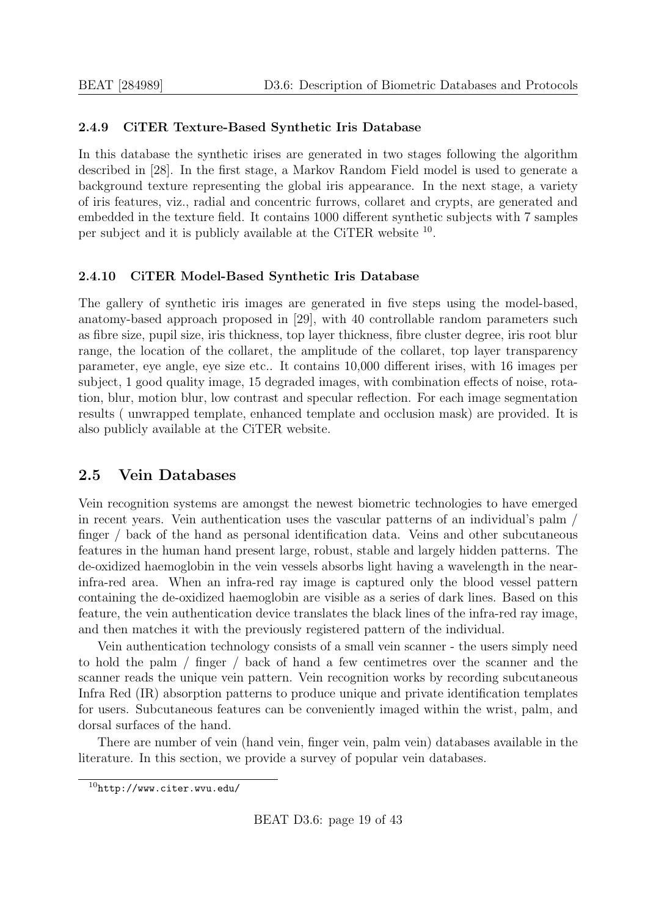#### <span id="page-18-0"></span>2.4.9 CiTER Texture-Based Synthetic Iris Database

In this database the synthetic irises are generated in two stages following the algorithm described in [\[28\]](#page-40-9). In the first stage, a Markov Random Field model is used to generate a background texture representing the global iris appearance. In the next stage, a variety of iris features, viz., radial and concentric furrows, collaret and crypts, are generated and embedded in the texture field. It contains 1000 different synthetic subjects with 7 samples per subject and it is publicly available at the CiTER website  $^{10}$  $^{10}$  $^{10}$ .

#### <span id="page-18-1"></span>2.4.10 CiTER Model-Based Synthetic Iris Database

The gallery of synthetic iris images are generated in five steps using the model-based, anatomy-based approach proposed in [\[29\]](#page-40-10), with 40 controllable random parameters such as fibre size, pupil size, iris thickness, top layer thickness, fibre cluster degree, iris root blur range, the location of the collaret, the amplitude of the collaret, top layer transparency parameter, eye angle, eye size etc.. It contains 10,000 different irises, with 16 images per subject, 1 good quality image, 15 degraded images, with combination effects of noise, rotation, blur, motion blur, low contrast and specular reflection. For each image segmentation results ( unwrapped template, enhanced template and occlusion mask) are provided. It is also publicly available at the CiTER website.

## <span id="page-18-2"></span>2.5 Vein Databases

Vein recognition systems are amongst the newest biometric technologies to have emerged in recent years. Vein authentication uses the vascular patterns of an individual's palm / finger / back of the hand as personal identification data. Veins and other subcutaneous features in the human hand present large, robust, stable and largely hidden patterns. The de-oxidized haemoglobin in the vein vessels absorbs light having a wavelength in the nearinfra-red area. When an infra-red ray image is captured only the blood vessel pattern containing the de-oxidized haemoglobin are visible as a series of dark lines. Based on this feature, the vein authentication device translates the black lines of the infra-red ray image, and then matches it with the previously registered pattern of the individual.

Vein authentication technology consists of a small vein scanner - the users simply need to hold the palm / finger / back of hand a few centimetres over the scanner and the scanner reads the unique vein pattern. Vein recognition works by recording subcutaneous Infra Red (IR) absorption patterns to produce unique and private identification templates for users. Subcutaneous features can be conveniently imaged within the wrist, palm, and dorsal surfaces of the hand.

There are number of vein (hand vein, finger vein, palm vein) databases available in the literature. In this section, we provide a survey of popular vein databases.

BEAT D3.6: page 19 of [43](#page-38-0)

<span id="page-18-3"></span> $10$ <http://www.citer.wvu.edu/>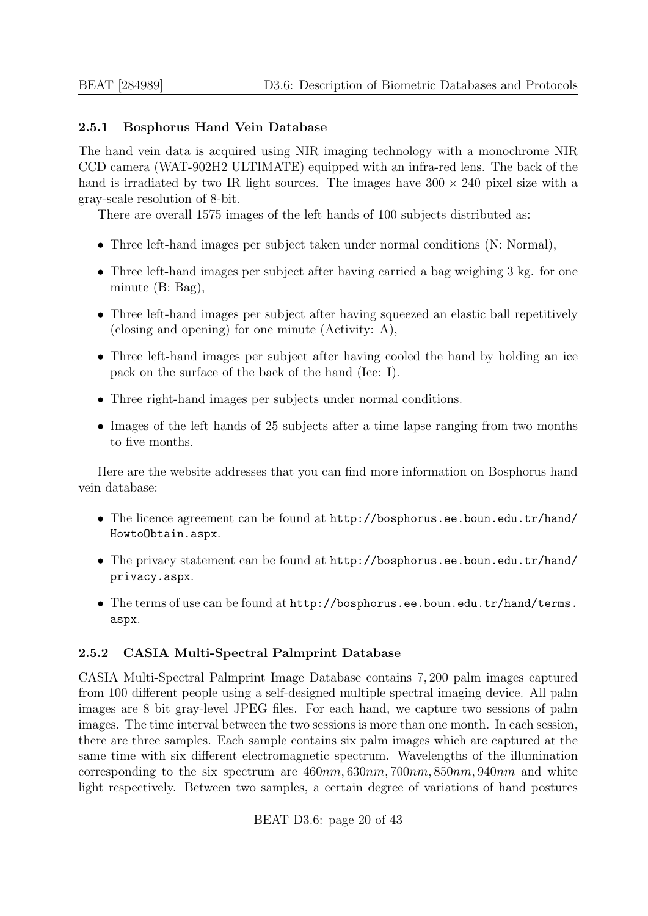#### <span id="page-19-0"></span>2.5.1 Bosphorus Hand Vein Database

The hand vein data is acquired using NIR imaging technology with a monochrome NIR CCD camera (WAT-902H2 ULTIMATE) equipped with an infra-red lens. The back of the hand is irradiated by two IR light sources. The images have  $300 \times 240$  pixel size with a gray-scale resolution of 8-bit.

There are overall 1575 images of the left hands of 100 subjects distributed as:

- Three left-hand images per subject taken under normal conditions (N: Normal),
- Three left-hand images per subject after having carried a bag weighing 3 kg. for one minute (B: Bag),
- Three left-hand images per subject after having squeezed an elastic ball repetitively (closing and opening) for one minute (Activity: A),
- Three left-hand images per subject after having cooled the hand by holding an ice pack on the surface of the back of the hand (Ice: I).
- Three right-hand images per subjects under normal conditions.
- Images of the left hands of 25 subjects after a time lapse ranging from two months to five months.

Here are the website addresses that you can find more information on Bosphorus hand vein database:

- The licence agreement can be found at  $http://bosphorus.ee.boun.edu.tr/hand/$ [HowtoObtain.aspx](http://bosphorus.ee.boun.edu.tr/hand/HowtoObtain.aspx).
- The privacy statement can be found at [http://bosphorus.ee.boun.edu.tr/hand/](http://bosphorus.ee.boun.edu.tr/hand/privacy.aspx) [privacy.aspx](http://bosphorus.ee.boun.edu.tr/hand/privacy.aspx).
- The terms of use can be found at [http://bosphorus.ee.boun.edu.tr/hand/terms.](http://bosphorus.ee.boun.edu.tr/hand/terms.aspx) [aspx](http://bosphorus.ee.boun.edu.tr/hand/terms.aspx).

### <span id="page-19-1"></span>2.5.2 CASIA Multi-Spectral Palmprint Database

CASIA Multi-Spectral Palmprint Image Database contains 7, 200 palm images captured from 100 different people using a self-designed multiple spectral imaging device. All palm images are 8 bit gray-level JPEG files. For each hand, we capture two sessions of palm images. The time interval between the two sessions is more than one month. In each session, there are three samples. Each sample contains six palm images which are captured at the same time with six different electromagnetic spectrum. Wavelengths of the illumination corresponding to the six spectrum are  $460nm, 630nm, 700nm, 850nm, 940nm$  and white light respectively. Between two samples, a certain degree of variations of hand postures

BEAT D3.6: page 20 of [43](#page-38-0)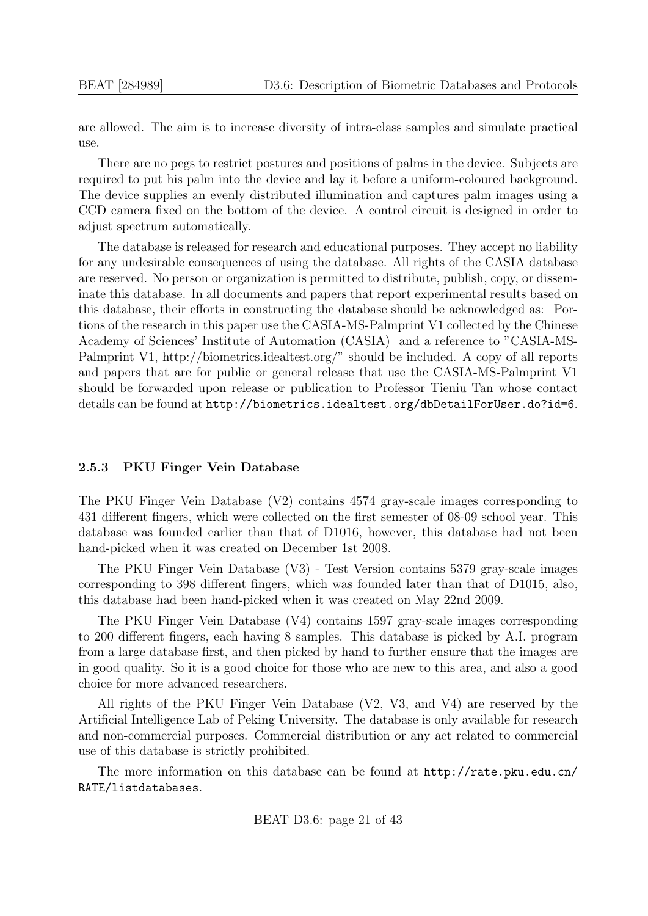are allowed. The aim is to increase diversity of intra-class samples and simulate practical use.

There are no pegs to restrict postures and positions of palms in the device. Subjects are required to put his palm into the device and lay it before a uniform-coloured background. The device supplies an evenly distributed illumination and captures palm images using a CCD camera fixed on the bottom of the device. A control circuit is designed in order to adjust spectrum automatically.

The database is released for research and educational purposes. They accept no liability for any undesirable consequences of using the database. All rights of the CASIA database are reserved. No person or organization is permitted to distribute, publish, copy, or disseminate this database. In all documents and papers that report experimental results based on this database, their efforts in constructing the database should be acknowledged as: Portions of the research in this paper use the CASIA-MS-Palmprint V1 collected by the Chinese Academy of Sciences' Institute of Automation (CASIA) and a reference to "CASIA-MS-Palmprint V1, http://biometrics.idealtest.org/" should be included. A copy of all reports and papers that are for public or general release that use the CASIA-MS-Palmprint V1 should be forwarded upon release or publication to Professor Tieniu Tan whose contact details can be found at <http://biometrics.idealtest.org/dbDetailForUser.do?id=6>.

#### <span id="page-20-0"></span>2.5.3 PKU Finger Vein Database

The PKU Finger Vein Database (V2) contains 4574 gray-scale images corresponding to 431 different fingers, which were collected on the first semester of 08-09 school year. This database was founded earlier than that of D1016, however, this database had not been hand-picked when it was created on December 1st 2008.

The PKU Finger Vein Database (V3) - Test Version contains 5379 gray-scale images corresponding to 398 different fingers, which was founded later than that of D1015, also, this database had been hand-picked when it was created on May 22nd 2009.

The PKU Finger Vein Database (V4) contains 1597 gray-scale images corresponding to 200 different fingers, each having 8 samples. This database is picked by A.I. program from a large database first, and then picked by hand to further ensure that the images are in good quality. So it is a good choice for those who are new to this area, and also a good choice for more advanced researchers.

All rights of the PKU Finger Vein Database (V2, V3, and V4) are reserved by the Artificial Intelligence Lab of Peking University. The database is only available for research and non-commercial purposes. Commercial distribution or any act related to commercial use of this database is strictly prohibited.

The more information on this database can be found at [http://rate.pku.edu.cn/](http://rate.pku.edu.cn/RATE/listdatabases) [RATE/listdatabases](http://rate.pku.edu.cn/RATE/listdatabases).

#### BEAT D3.6: page 21 of [43](#page-38-0)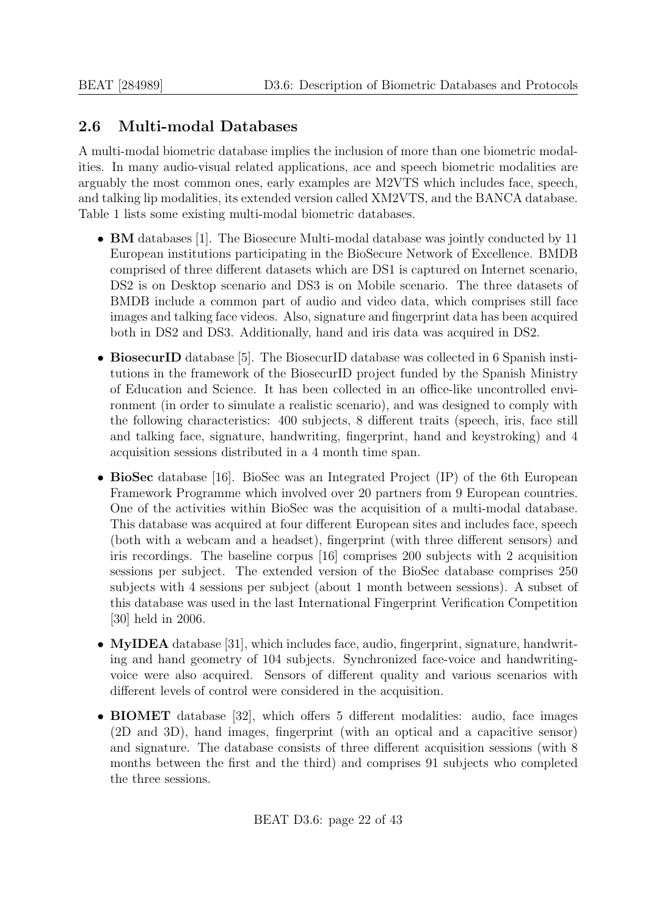## <span id="page-21-0"></span>2.6 Multi-modal Databases

A multi-modal biometric database implies the inclusion of more than one biometric modalities. In many audio-visual related applications, ace and speech biometric modalities are arguably the most common ones, early examples are M2VTS which includes face, speech, and talking lip modalities, its extended version called XM2VTS, and the BANCA database. Table [1](#page-22-1) lists some existing multi-modal biometric databases.

- BM databases [\[1\]](#page-38-1). The Biosecure Multi-modal database was jointly conducted by 11 European institutions participating in the BioSecure Network of Excellence. BMDB comprised of three different datasets which are DS1 is captured on Internet scenario, DS2 is on Desktop scenario and DS3 is on Mobile scenario. The three datasets of BMDB include a common part of audio and video data, which comprises still face images and talking face videos. Also, signature and fingerprint data has been acquired both in DS2 and DS3. Additionally, hand and iris data was acquired in DS2.
- BiosecurID database [\[5\]](#page-38-5). The BiosecurID database was collected in 6 Spanish institutions in the framework of the BiosecurID project funded by the Spanish Ministry of Education and Science. It has been collected in an office-like uncontrolled environment (in order to simulate a realistic scenario), and was designed to comply with the following characteristics: 400 subjects, 8 different traits (speech, iris, face still and talking face, signature, handwriting, fingerprint, hand and keystroking) and 4 acquisition sessions distributed in a 4 month time span.
- BioSec database [\[16\]](#page-39-6). BioSec was an Integrated Project (IP) of the 6th European Framework Programme which involved over 20 partners from 9 European countries. One of the activities within BioSec was the acquisition of a multi-modal database. This database was acquired at four different European sites and includes face, speech (both with a webcam and a headset), fingerprint (with three different sensors) and iris recordings. The baseline corpus [\[16\]](#page-39-6) comprises 200 subjects with 2 acquisition sessions per subject. The extended version of the BioSec database comprises 250 subjects with 4 sessions per subject (about 1 month between sessions). A subset of this database was used in the last International Fingerprint Verification Competition [\[30\]](#page-40-11) held in 2006.
- **MyIDEA** database [\[31\]](#page-40-12), which includes face, audio, fingerprint, signature, handwriting and hand geometry of 104 subjects. Synchronized face-voice and handwritingvoice were also acquired. Sensors of different quality and various scenarios with different levels of control were considered in the acquisition.
- **BIOMET** database [\[32\]](#page-40-13), which offers 5 different modalities: audio, face images (2D and 3D), hand images, fingerprint (with an optical and a capacitive sensor) and signature. The database consists of three different acquisition sessions (with 8 months between the first and the third) and comprises 91 subjects who completed the three sessions.

BEAT D3.6: page 22 of [43](#page-38-0)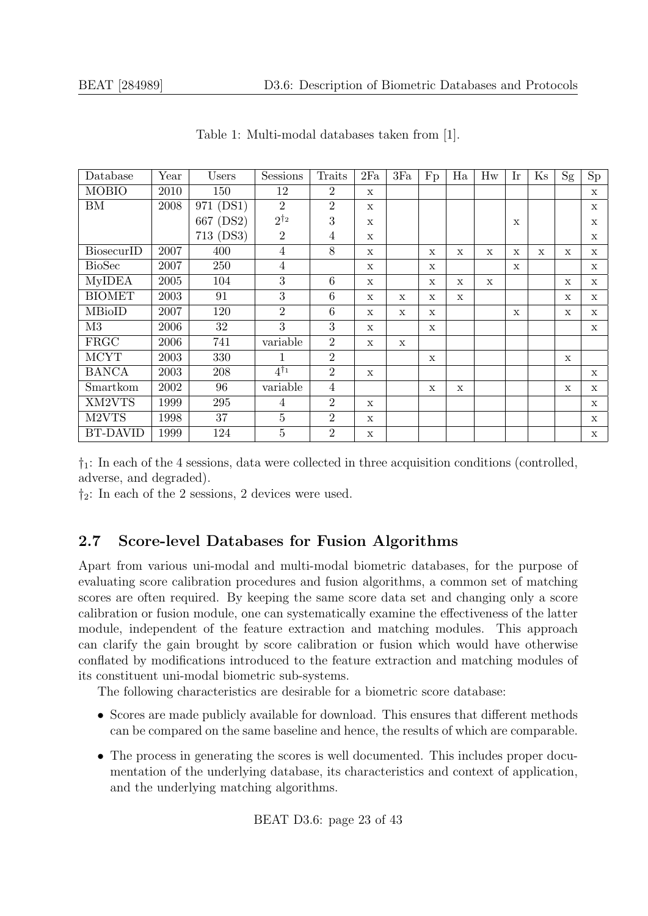| Database        | Year       | Users     | <b>Sessions</b> | Traits         | 2Fa          | 3Fa         | Fp          | Ha          | Hw | Ir          | Ks          | Sg          | Sp           |
|-----------------|------------|-----------|-----------------|----------------|--------------|-------------|-------------|-------------|----|-------------|-------------|-------------|--------------|
| <b>MOBIO</b>    | 2010       | 150       | 12              | $\overline{2}$ | $\mathbf x$  |             |             |             |    |             |             |             | X            |
| BM              | 2008       | 971 (DS1) | $\overline{2}$  | $\overline{2}$ | $\mathbf x$  |             |             |             |    |             |             |             | $\mathbf{x}$ |
|                 |            | 667 (DS2) | $2^{\dagger_2}$ | 3              | $\mathbf x$  |             |             |             |    | $\mathbf x$ |             |             | $\mathbf{x}$ |
|                 |            | 713 (DS3) | $\overline{2}$  | $\overline{4}$ | X            |             |             |             |    |             |             |             | $\mathbf{x}$ |
| BiosecurID      | 2007       | 400       | $\overline{4}$  | 8              | $\mathbf x$  |             | X           | X           | X  | X           | $\mathbf x$ | $\mathbf x$ | $\mathbf{x}$ |
| <b>BioSec</b>   | 2007       | 250       | $\overline{4}$  |                | $\mathbf x$  |             | X           |             |    | $\mathbf x$ |             |             | X            |
| <b>MyIDEA</b>   | 2005       | 104       | 3               | 6              | $\mathbf x$  |             | X           | $\mathbf x$ | X  |             |             | X           | X            |
| <b>BIOMET</b>   | $\,2003\,$ | 91        | 3               | 6              | X            | X           | X           | X           |    |             |             | X           | X            |
| <b>MBioID</b>   | 2007       | 120       | $\overline{2}$  | 6              | $\mathbf x$  | $\mathbf x$ | X           |             |    | $\mathbf x$ |             | X           | $\mathbf{x}$ |
| M3              | 2006       | 32        | 3               | 3              | $\mathbf x$  |             | $\mathbf x$ |             |    |             |             |             | X            |
| ${\rm FRGC}$    | $\,2006\,$ | 741       | variable        | $\overline{2}$ | $\mathbf x$  | $\mathbf x$ |             |             |    |             |             |             |              |
| <b>MCYT</b>     | 2003       | 330       | 1               | $\overline{2}$ |              |             | $\mathbf x$ |             |    |             |             | $\mathbf x$ |              |
| <b>BANCA</b>    | 2003       | 208       | $4^{\dagger_1}$ | $\overline{2}$ | $\mathbf x$  |             |             |             |    |             |             |             | $\mathbf{x}$ |
| Smartkom        | 2002       | 96        | variable        | $\overline{4}$ |              |             | $\mathbf x$ | $\mathbf x$ |    |             |             | $\mathbf x$ | $\mathbf{x}$ |
| XM2VTS          | 1999       | 295       | $\overline{4}$  | $\overline{2}$ | $\mathbf x$  |             |             |             |    |             |             |             | X            |
| M2VTS           | 1998       | 37        | $\overline{5}$  | $\overline{2}$ | $\mathbf{x}$ |             |             |             |    |             |             |             | $\mathbf{x}$ |
| <b>BT-DAVID</b> | 1999       | 124       | $\overline{5}$  | $\overline{2}$ | X            |             |             |             |    |             |             |             | X            |

<span id="page-22-1"></span>Table 1: Multi-modal databases taken from [\[1\]](#page-38-1).

 $\dagger_1$ : In each of the 4 sessions, data were collected in three acquisition conditions (controlled, adverse, and degraded).

†2: In each of the 2 sessions, 2 devices were used.

## <span id="page-22-0"></span>2.7 Score-level Databases for Fusion Algorithms

Apart from various uni-modal and multi-modal biometric databases, for the purpose of evaluating score calibration procedures and fusion algorithms, a common set of matching scores are often required. By keeping the same score data set and changing only a score calibration or fusion module, one can systematically examine the effectiveness of the latter module, independent of the feature extraction and matching modules. This approach can clarify the gain brought by score calibration or fusion which would have otherwise conflated by modifications introduced to the feature extraction and matching modules of its constituent uni-modal biometric sub-systems.

The following characteristics are desirable for a biometric score database:

- Scores are made publicly available for download. This ensures that different methods can be compared on the same baseline and hence, the results of which are comparable.
- The process in generating the scores is well documented. This includes proper documentation of the underlying database, its characteristics and context of application, and the underlying matching algorithms.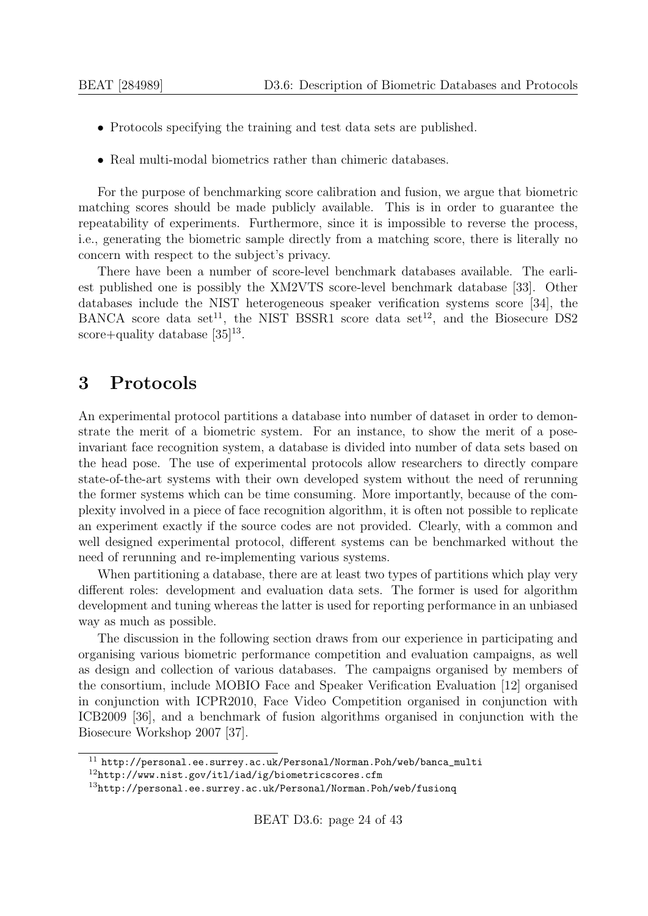- Protocols specifying the training and test data sets are published.
- Real multi-modal biometrics rather than chimeric databases.

For the purpose of benchmarking score calibration and fusion, we argue that biometric matching scores should be made publicly available. This is in order to guarantee the repeatability of experiments. Furthermore, since it is impossible to reverse the process, i.e., generating the biometric sample directly from a matching score, there is literally no concern with respect to the subject's privacy.

There have been a number of score-level benchmark databases available. The earliest published one is possibly the XM2VTS score-level benchmark database [\[33\]](#page-41-0). Other databases include the NIST heterogeneous speaker verification systems score [\[34\]](#page-41-1), the BANCA score data set<sup>[11](#page-23-1)</sup>, the NIST BSSR1 score data set<sup>[12](#page-23-2)</sup>, and the Biosecure DS2 score+quality database  $[35]^{13}$  $[35]^{13}$  $[35]^{13}$  $[35]^{13}$ .

## <span id="page-23-0"></span>3 Protocols

An experimental protocol partitions a database into number of dataset in order to demonstrate the merit of a biometric system. For an instance, to show the merit of a poseinvariant face recognition system, a database is divided into number of data sets based on the head pose. The use of experimental protocols allow researchers to directly compare state-of-the-art systems with their own developed system without the need of rerunning the former systems which can be time consuming. More importantly, because of the complexity involved in a piece of face recognition algorithm, it is often not possible to replicate an experiment exactly if the source codes are not provided. Clearly, with a common and well designed experimental protocol, different systems can be benchmarked without the need of rerunning and re-implementing various systems.

When partitioning a database, there are at least two types of partitions which play very different roles: development and evaluation data sets. The former is used for algorithm development and tuning whereas the latter is used for reporting performance in an unbiased way as much as possible.

The discussion in the following section draws from our experience in participating and organising various biometric performance competition and evaluation campaigns, as well as design and collection of various databases. The campaigns organised by members of the consortium, include MOBIO Face and Speaker Verification Evaluation [\[12\]](#page-39-2) organised in conjunction with ICPR2010, Face Video Competition organised in conjunction with ICB2009 [\[36\]](#page-41-3), and a benchmark of fusion algorithms organised in conjunction with the Biosecure Workshop 2007 [\[37\]](#page-41-4).

BEAT D3.6: page 24 of [43](#page-38-0)

<span id="page-23-1"></span> $^{11}$ [http://personal.ee.surrey.ac.uk/Personal/Norman.Poh/web/banca\\_multi](http://personal.ee.surrey.ac.uk/Personal/Norman.Poh/web/banca_multi)

<span id="page-23-2"></span> $12$ <http://www.nist.gov/itl/iad/ig/biometricscores.cfm>

<span id="page-23-3"></span><sup>&</sup>lt;sup>13</sup><http://personal.ee.surrey.ac.uk/Personal/Norman.Poh/web/fusionq>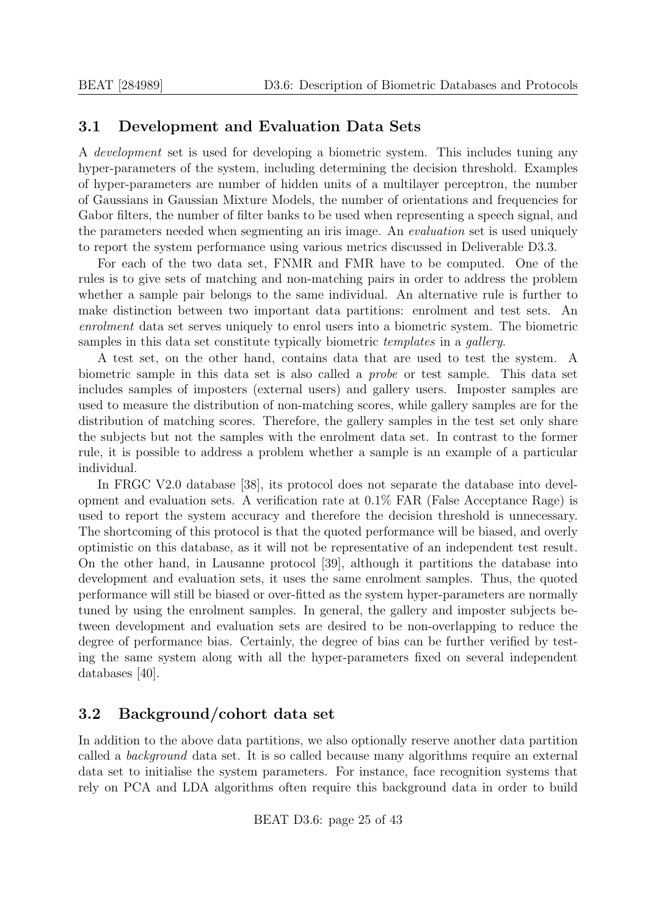## <span id="page-24-0"></span>3.1 Development and Evaluation Data Sets

A development set is used for developing a biometric system. This includes tuning any hyper-parameters of the system, including determining the decision threshold. Examples of hyper-parameters are number of hidden units of a multilayer perceptron, the number of Gaussians in Gaussian Mixture Models, the number of orientations and frequencies for Gabor filters, the number of filter banks to be used when representing a speech signal, and the parameters needed when segmenting an iris image. An *evaluation* set is used uniquely to report the system performance using various metrics discussed in Deliverable D3.3.

For each of the two data set, FNMR and FMR have to be computed. One of the rules is to give sets of matching and non-matching pairs in order to address the problem whether a sample pair belongs to the same individual. An alternative rule is further to make distinction between two important data partitions: enrolment and test sets. An enrolment data set serves uniquely to enrol users into a biometric system. The biometric samples in this data set constitute typically biometric templates in a gallery.

A test set, on the other hand, contains data that are used to test the system. A biometric sample in this data set is also called a probe or test sample. This data set includes samples of imposters (external users) and gallery users. Imposter samples are used to measure the distribution of non-matching scores, while gallery samples are for the distribution of matching scores. Therefore, the gallery samples in the test set only share the subjects but not the samples with the enrolment data set. In contrast to the former rule, it is possible to address a problem whether a sample is an example of a particular individual.

In FRGC V2.0 database [\[38\]](#page-41-5), its protocol does not separate the database into development and evaluation sets. A verification rate at 0.1% FAR (False Acceptance Rage) is used to report the system accuracy and therefore the decision threshold is unnecessary. The shortcoming of this protocol is that the quoted performance will be biased, and overly optimistic on this database, as it will not be representative of an independent test result. On the other hand, in Lausanne protocol [\[39\]](#page-41-6), although it partitions the database into development and evaluation sets, it uses the same enrolment samples. Thus, the quoted performance will still be biased or over-fitted as the system hyper-parameters are normally tuned by using the enrolment samples. In general, the gallery and imposter subjects between development and evaluation sets are desired to be non-overlapping to reduce the degree of performance bias. Certainly, the degree of bias can be further verified by testing the same system along with all the hyper-parameters fixed on several independent databases [\[40\]](#page-41-7).

## <span id="page-24-1"></span>3.2 Background/cohort data set

In addition to the above data partitions, we also optionally reserve another data partition called a background data set. It is so called because many algorithms require an external data set to initialise the system parameters. For instance, face recognition systems that rely on PCA and LDA algorithms often require this background data in order to build

BEAT D3.6: page 25 of [43](#page-38-0)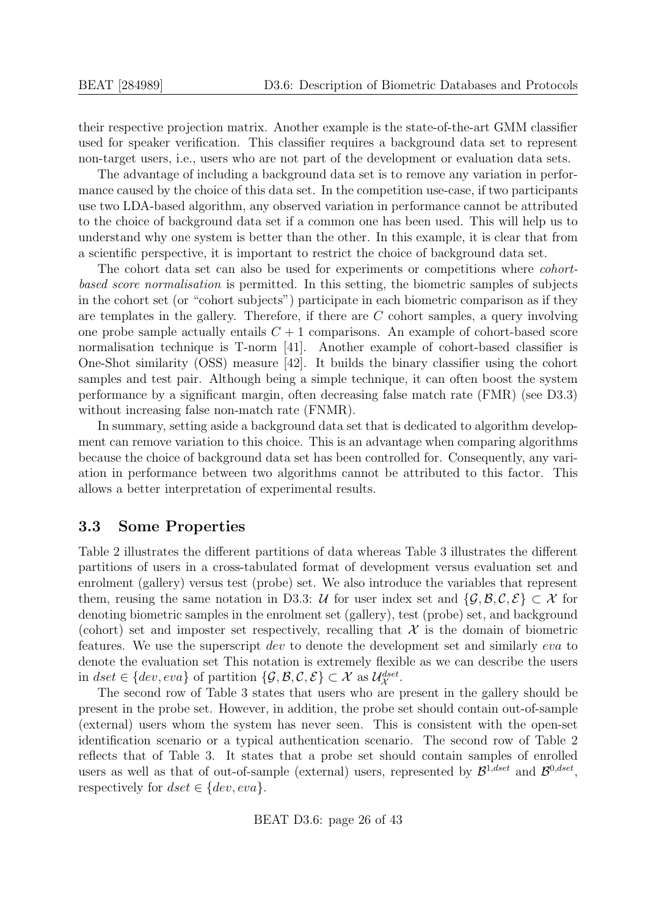their respective projection matrix. Another example is the state-of-the-art GMM classifier used for speaker verification. This classifier requires a background data set to represent non-target users, i.e., users who are not part of the development or evaluation data sets.

The advantage of including a background data set is to remove any variation in performance caused by the choice of this data set. In the competition use-case, if two participants use two LDA-based algorithm, any observed variation in performance cannot be attributed to the choice of background data set if a common one has been used. This will help us to understand why one system is better than the other. In this example, it is clear that from a scientific perspective, it is important to restrict the choice of background data set.

The cohort data set can also be used for experiments or competitions where cohortbased score normalisation is permitted. In this setting, the biometric samples of subjects in the cohort set (or "cohort subjects") participate in each biometric comparison as if they are templates in the gallery. Therefore, if there are  $C$  cohort samples, a query involving one probe sample actually entails  $C + 1$  comparisons. An example of cohort-based score normalisation technique is T-norm [\[41\]](#page-41-8). Another example of cohort-based classifier is One-Shot similarity (OSS) measure [\[42\]](#page-41-9). It builds the binary classifier using the cohort samples and test pair. Although being a simple technique, it can often boost the system performance by a significant margin, often decreasing false match rate (FMR) (see D3.3) without increasing false non-match rate (FNMR).

In summary, setting aside a background data set that is dedicated to algorithm development can remove variation to this choice. This is an advantage when comparing algorithms because the choice of background data set has been controlled for. Consequently, any variation in performance between two algorithms cannot be attributed to this factor. This allows a better interpretation of experimental results.

### <span id="page-25-0"></span>3.3 Some Properties

Table [2](#page-26-0) illustrates the different partitions of data whereas Table [3](#page-26-1) illustrates the different partitions of users in a cross-tabulated format of development versus evaluation set and enrolment (gallery) versus test (probe) set. We also introduce the variables that represent them, reusing the same notation in D3.3: U for user index set and  $\{\mathcal{G}, \mathcal{B}, \mathcal{C}, \mathcal{E}\} \subset \mathcal{X}$  for denoting biometric samples in the enrolment set (gallery), test (probe) set, and background (cohort) set and imposter set respectively, recalling that  $\mathcal X$  is the domain of biometric features. We use the superscript dev to denote the development set and similarly eva to denote the evaluation set This notation is extremely flexible as we can describe the users in  $\text{dset} \in \{\text{dev}, \text{eva}\}\$  of partition  $\{\mathcal{G}, \mathcal{B}, \mathcal{C}, \mathcal{E}\} \subset \mathcal{X}$  as  $\mathcal{U}_{\mathcal{X}}^{\text{dset}}$ .

The second row of Table [3](#page-26-1) states that users who are present in the gallery should be present in the probe set. However, in addition, the probe set should contain out-of-sample (external) users whom the system has never seen. This is consistent with the open-set identification scenario or a typical authentication scenario. The second row of Table [2](#page-26-0) reflects that of Table [3.](#page-26-1) It states that a probe set should contain samples of enrolled users as well as that of out-of-sample (external) users, represented by  $\mathcal{B}^{1, dest}$  and  $\mathcal{B}^{0, dest}$ , respectively for  $\text{d}set \in \{\text{dev}, \text{eva}\}.$ 

BEAT D3.6: page 26 of [43](#page-38-0)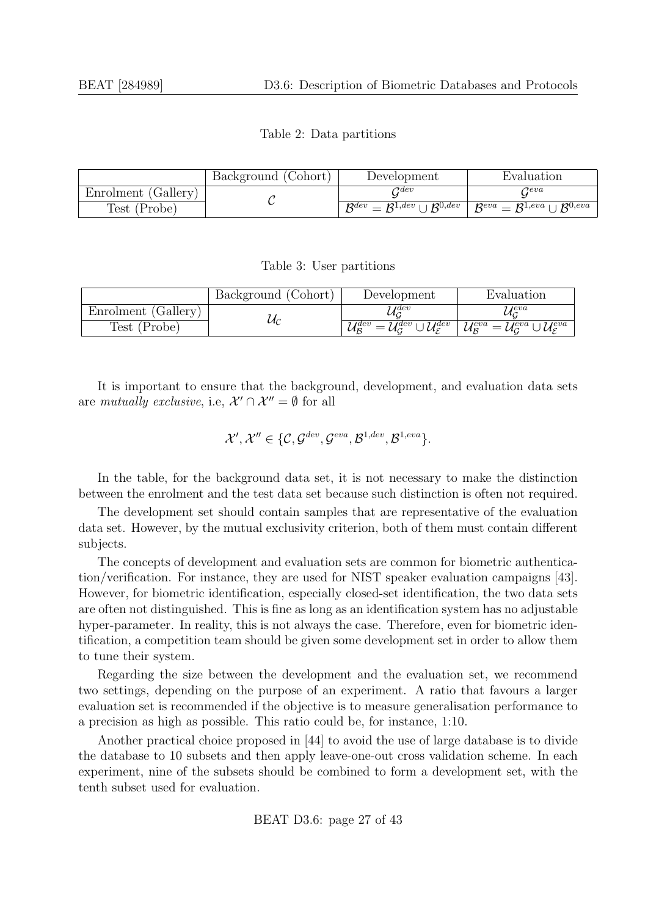#### <span id="page-26-0"></span>Table 2: Data partitions

|                     | Background (Cohort) | Development                                                                                                                                          | Evaluation   |
|---------------------|---------------------|------------------------------------------------------------------------------------------------------------------------------------------------------|--------------|
| Enrolment (Gallery) |                     | $\gamma$ dev                                                                                                                                         | $\gamma eva$ |
| Test (Probe)        |                     | $\boxed{\mathcal{B}^{dev} = \mathcal{B}^{1, dev} \cup \mathcal{B}^{0, dev} \mid \mathcal{B}^{eva} = \mathcal{B}^{1, eva} \cup \mathcal{B}^{0, eva}}$ |              |

<span id="page-26-1"></span>Table 3: User partitions

|                      | Background<br>(Cohort) | Development                                       | Evaluation                                                      |
|----------------------|------------------------|---------------------------------------------------|-----------------------------------------------------------------|
| Gallery<br>Enrolment |                        | $\boldsymbol{\mu}$ dev                            | $1$ $eva$                                                       |
| $1$ est<br>Probe     | $\iota_{\mathcal{C}}$  | $\mu$ de $\upsilon$<br>$\boldsymbol{\mu}$<br>'dev | $I$ eva<br>$I$ eva<br>$_{leva}$<br>$\mathcal{A}_{12}$<br>$\cup$ |

It is important to ensure that the background, development, and evaluation data sets are mutually exclusive, i.e,  $\mathcal{X}' \cap \mathcal{X}'' = \emptyset$  for all

$$
\mathcal{X}', \mathcal{X}'' \in \{\mathcal{C}, \mathcal{G}^{dev}, \mathcal{G}^{eva}, \mathcal{B}^{1, dev}, \mathcal{B}^{1, eva}\}.
$$

In the table, for the background data set, it is not necessary to make the distinction between the enrolment and the test data set because such distinction is often not required.

The development set should contain samples that are representative of the evaluation data set. However, by the mutual exclusivity criterion, both of them must contain different subjects.

The concepts of development and evaluation sets are common for biometric authentication/verification. For instance, they are used for NIST speaker evaluation campaigns [\[43\]](#page-41-10). However, for biometric identification, especially closed-set identification, the two data sets are often not distinguished. This is fine as long as an identification system has no adjustable hyper-parameter. In reality, this is not always the case. Therefore, even for biometric identification, a competition team should be given some development set in order to allow them to tune their system.

Regarding the size between the development and the evaluation set, we recommend two settings, depending on the purpose of an experiment. A ratio that favours a larger evaluation set is recommended if the objective is to measure generalisation performance to a precision as high as possible. This ratio could be, for instance, 1:10.

Another practical choice proposed in [\[44\]](#page-42-0) to avoid the use of large database is to divide the database to 10 subsets and then apply leave-one-out cross validation scheme. In each experiment, nine of the subsets should be combined to form a development set, with the tenth subset used for evaluation.

BEAT D3.6: page 27 of [43](#page-38-0)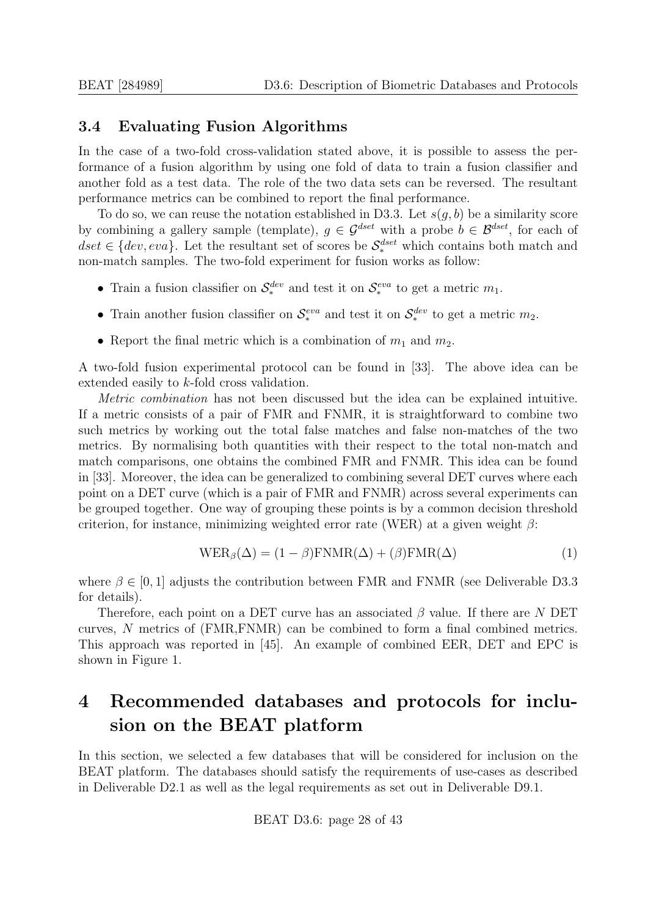## <span id="page-27-0"></span>3.4 Evaluating Fusion Algorithms

In the case of a two-fold cross-validation stated above, it is possible to assess the performance of a fusion algorithm by using one fold of data to train a fusion classifier and another fold as a test data. The role of the two data sets can be reversed. The resultant performance metrics can be combined to report the final performance.

To do so, we can reuse the notation established in D3.3. Let  $s(q, b)$  be a similarity score by combining a gallery sample (template),  $g \in \mathcal{G}^{dset}$  with a probe  $b \in \mathcal{B}^{dset}$ , for each of  $\text{dset} \in \{dev, eva\}.$  Let the resultant set of scores be  $\mathcal{S}_{*}^{\text{dset}}$  which contains both match and non-match samples. The two-fold experiment for fusion works as follow:

- Train a fusion classifier on  $\mathcal{S}_{*}^{dev}$  and test it on  $\mathcal{S}_{*}^{eva}$  to get a metric  $m_1$ .
- Train another fusion classifier on  $\mathcal{S}_{*}^{eva}$  and test it on  $\mathcal{S}_{*}^{dev}$  to get a metric  $m_2$ .
- Report the final metric which is a combination of  $m_1$  and  $m_2$ .

A two-fold fusion experimental protocol can be found in [\[33\]](#page-41-0). The above idea can be extended easily to k-fold cross validation.

Metric combination has not been discussed but the idea can be explained intuitive. If a metric consists of a pair of FMR and FNMR, it is straightforward to combine two such metrics by working out the total false matches and false non-matches of the two metrics. By normalising both quantities with their respect to the total non-match and match comparisons, one obtains the combined FMR and FNMR. This idea can be found in [\[33\]](#page-41-0). Moreover, the idea can be generalized to combining several DET curves where each point on a DET curve (which is a pair of FMR and FNMR) across several experiments can be grouped together. One way of grouping these points is by a common decision threshold criterion, for instance, minimizing weighted error rate (WER) at a given weight  $\beta$ :

$$
WER_{\beta}(\Delta) = (1 - \beta)FNMR(\Delta) + (\beta)FMR(\Delta)
$$
\n(1)

where  $\beta \in [0, 1]$  adjusts the contribution between FMR and FNMR (see Deliverable D3.3 for details).

Therefore, each point on a DET curve has an associated  $\beta$  value. If there are N DET curves, N metrics of (FMR,FNMR) can be combined to form a final combined metrics. This approach was reported in [\[45\]](#page-42-1). An example of combined EER, DET and EPC is shown in Figure [1.](#page-28-1)

# <span id="page-27-1"></span>4 Recommended databases and protocols for inclusion on the BEAT platform

In this section, we selected a few databases that will be considered for inclusion on the BEAT platform. The databases should satisfy the requirements of use-cases as described in Deliverable D2.1 as well as the legal requirements as set out in Deliverable D9.1.

BEAT D3.6: page 28 of [43](#page-38-0)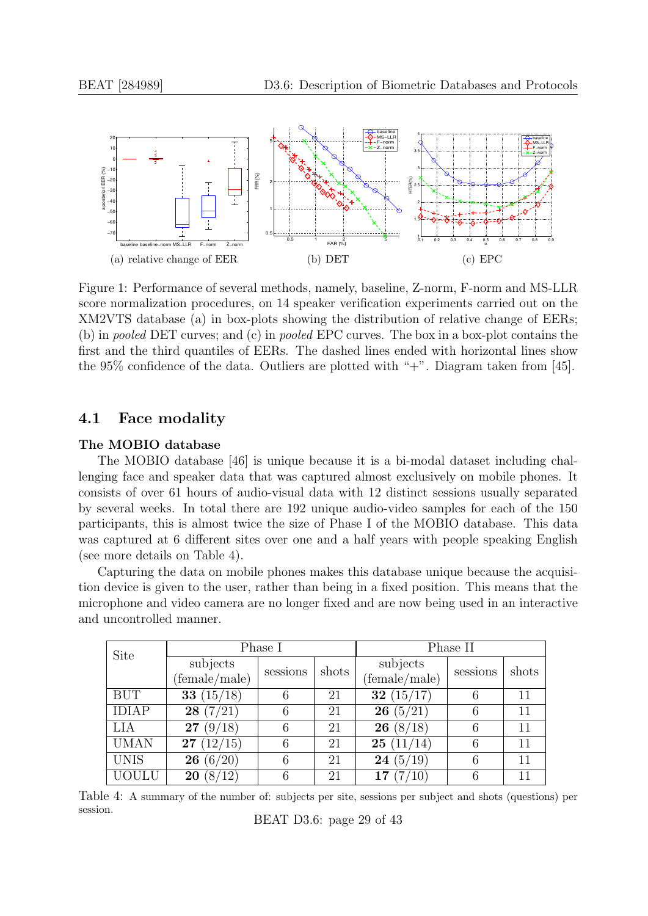

<span id="page-28-1"></span>Figure 1: Performance of several methods, namely, baseline, Z-norm, F-norm and MS-LLR score normalization procedures, on 14 speaker verification experiments carried out on the XM2VTS database (a) in box-plots showing the distribution of relative change of EERs; (b) in pooled DET curves; and (c) in pooled EPC curves. The box in a box-plot contains the first and the third quantiles of EERs. The dashed lines ended with horizontal lines show the  $95\%$  confidence of the data. Outliers are plotted with "+". Diagram taken from [\[45\]](#page-42-1).

#### <span id="page-28-0"></span>4.1 Face modality

#### The MOBIO database

The MOBIO database [\[46\]](#page-42-2) is unique because it is a bi-modal dataset including challenging face and speaker data that was captured almost exclusively on mobile phones. It consists of over 61 hours of audio-visual data with 12 distinct sessions usually separated by several weeks. In total there are 192 unique audio-video samples for each of the 150 participants, this is almost twice the size of Phase I of the MOBIO database. This data was captured at 6 different sites over one and a half years with people speaking English (see more details on Table [4\)](#page-28-2).

Capturing the data on mobile phones makes this database unique because the acquisition device is given to the user, rather than being in a fixed position. This means that the microphone and video camera are no longer fixed and are now being used in an interactive and uncontrolled manner.

| Site         |                           | Phase I  |       |                             | Phase II |       |
|--------------|---------------------------|----------|-------|-----------------------------|----------|-------|
|              | subjects<br>(female/male) | sessions | shots | subjects<br>(female/male)   | sessions | shots |
| <b>BUT</b>   | 33 $(15/18)$              | 6        | 21    | 32 $(15/17)$                |          | 11    |
| <b>IDIAP</b> | 28(7/21)                  | 6        | 21    | 26(5/21)                    |          | 11    |
| LIA          | (9/18)<br>$27\,$          | 6        | 21    | 26(8/18)                    | 6        | 11    |
| <b>UMAN</b>  | 27(12/15)                 | 6        | 21    | 25(11/14)                   |          | 11    |
| <b>UNIS</b>  | 26(6/20)                  | 6        | 21    | 24(5/19)                    |          | 11    |
| <b>UOULU</b> | 20(8/12)                  | 6        | 21    | 17<br>$^{\prime}10^{\circ}$ |          |       |

<span id="page-28-2"></span>Table 4: A summary of the number of: subjects per site, sessions per subject and shots (questions) per session. BEAT D3.6: page 29 of [43](#page-38-0)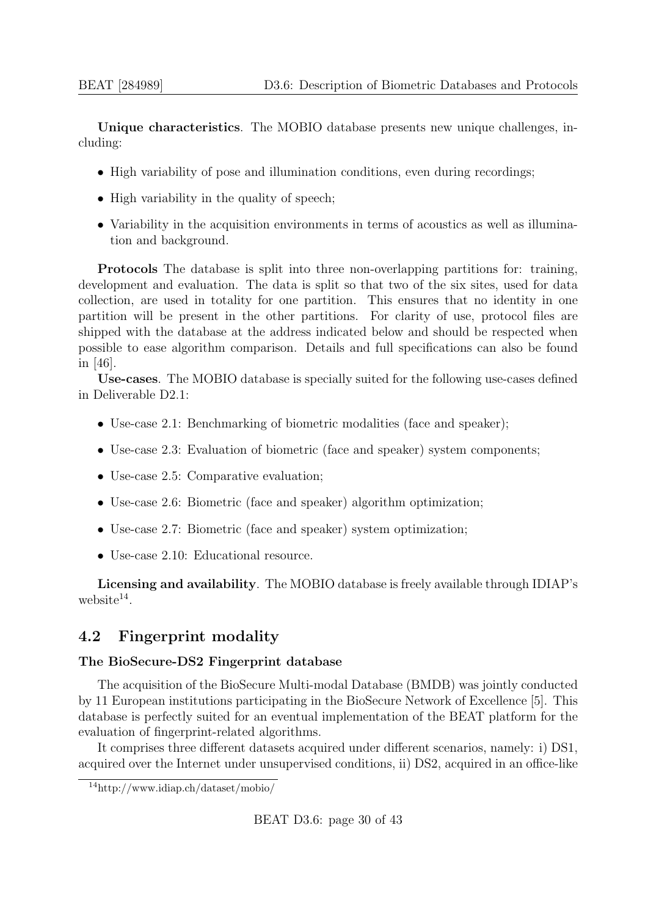Unique characteristics. The MOBIO database presents new unique challenges, including:

- High variability of pose and illumination conditions, even during recordings;
- High variability in the quality of speech;
- Variability in the acquisition environments in terms of acoustics as well as illumination and background.

Protocols The database is split into three non-overlapping partitions for: training, development and evaluation. The data is split so that two of the six sites, used for data collection, are used in totality for one partition. This ensures that no identity in one partition will be present in the other partitions. For clarity of use, protocol files are shipped with the database at the address indicated below and should be respected when possible to ease algorithm comparison. Details and full specifications can also be found in [\[46\]](#page-42-2).

Use-cases. The MOBIO database is specially suited for the following use-cases defined in Deliverable D2.1:

- Use-case 2.1: Benchmarking of biometric modalities (face and speaker);
- Use-case 2.3: Evaluation of biometric (face and speaker) system components;
- Use-case 2.5: Comparative evaluation;
- Use-case 2.6: Biometric (face and speaker) algorithm optimization;
- Use-case 2.7: Biometric (face and speaker) system optimization;
- Use-case 2.10: Educational resource.

Licensing and availability. The MOBIO database is freely available through IDIAP's  $we b site<sup>14</sup>.$  $we b site<sup>14</sup>.$  $we b site<sup>14</sup>.$ 

## <span id="page-29-0"></span>4.2 Fingerprint modality

#### The BioSecure-DS2 Fingerprint database

The acquisition of the BioSecure Multi-modal Database (BMDB) was jointly conducted by 11 European institutions participating in the BioSecure Network of Excellence [\[5\]](#page-38-5). This database is perfectly suited for an eventual implementation of the BEAT platform for the evaluation of fingerprint-related algorithms.

It comprises three different datasets acquired under different scenarios, namely: i) DS1, acquired over the Internet under unsupervised conditions, ii) DS2, acquired in an office-like

BEAT D3.6: page 30 of [43](#page-38-0)

<span id="page-29-1"></span><sup>14</sup>http://www.idiap.ch/dataset/mobio/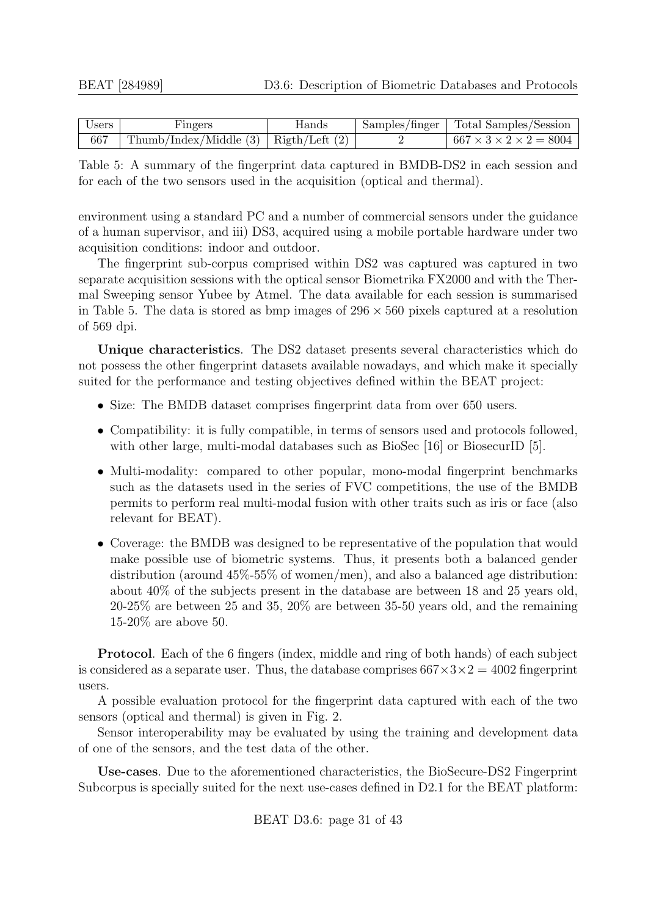| Users | r ingers                                    | Hands | Samples/finger   Total Samples/Session  |
|-------|---------------------------------------------|-------|-----------------------------------------|
| 667   | Thumb/Index/Middle $(3)$   Rigth/Left $(2)$ |       | $667 \times 3 \times 2 \times 2 = 8004$ |

<span id="page-30-0"></span>Table 5: A summary of the fingerprint data captured in BMDB-DS2 in each session and for each of the two sensors used in the acquisition (optical and thermal).

environment using a standard PC and a number of commercial sensors under the guidance of a human supervisor, and iii) DS3, acquired using a mobile portable hardware under two acquisition conditions: indoor and outdoor.

The fingerprint sub-corpus comprised within DS2 was captured was captured in two separate acquisition sessions with the optical sensor Biometrika FX2000 and with the Thermal Sweeping sensor Yubee by Atmel. The data available for each session is summarised in Table [5.](#page-30-0) The data is stored as bmp images of  $296 \times 560$  pixels captured at a resolution of 569 dpi.

Unique characteristics. The DS2 dataset presents several characteristics which do not possess the other fingerprint datasets available nowadays, and which make it specially suited for the performance and testing objectives defined within the BEAT project:

- Size: The BMDB dataset comprises fingerprint data from over 650 users.
- Compatibility: it is fully compatible, in terms of sensors used and protocols followed, with other large, multi-modal databases such as BioSec [\[16\]](#page-39-6) or BiosecurID [\[5\]](#page-38-5).
- Multi-modality: compared to other popular, mono-modal fingerprint benchmarks such as the datasets used in the series of FVC competitions, the use of the BMDB permits to perform real multi-modal fusion with other traits such as iris or face (also relevant for BEAT).
- Coverage: the BMDB was designed to be representative of the population that would make possible use of biometric systems. Thus, it presents both a balanced gender distribution (around 45%-55% of women/men), and also a balanced age distribution: about 40% of the subjects present in the database are between 18 and 25 years old, 20-25% are between 25 and 35, 20% are between 35-50 years old, and the remaining 15-20% are above 50.

Protocol. Each of the 6 fingers (index, middle and ring of both hands) of each subject is considered as a separate user. Thus, the database comprises  $667 \times 3 \times 2 = 4002$  fingerprint users.

A possible evaluation protocol for the fingerprint data captured with each of the two sensors (optical and thermal) is given in Fig. [2.](#page-31-1)

Sensor interoperability may be evaluated by using the training and development data of one of the sensors, and the test data of the other.

Use-cases. Due to the aforementioned characteristics, the BioSecure-DS2 Fingerprint Subcorpus is specially suited for the next use-cases defined in D2.1 for the BEAT platform:

BEAT D3.6: page 31 of [43](#page-38-0)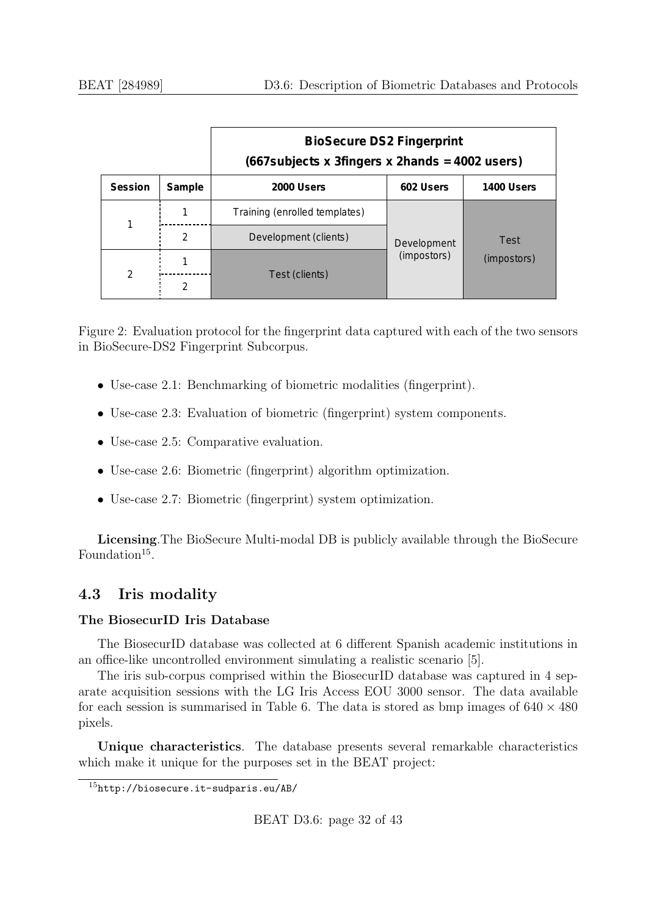|                |               | <b>BioSecure DS2 Fingerprint</b><br>(667 subjects x 3 fingers x 2 hands = 4002 users) |             |             |  |  |
|----------------|---------------|---------------------------------------------------------------------------------------|-------------|-------------|--|--|
| <b>Session</b> | <b>Sample</b> | 2000 Users                                                                            | 602 Users   | 1400 Users  |  |  |
|                |               | Training (enrolled templates)                                                         |             |             |  |  |
| 1              | 2             | Development (clients)                                                                 | Development | Test        |  |  |
| 2              |               |                                                                                       | (impostors) | (impostors) |  |  |
|                | 2             | Test (clients)                                                                        |             |             |  |  |

<span id="page-31-1"></span>Figure 2: Evaluation protocol for the fingerprint data captured with each of the two sensors in BioSecure-DS2 Fingerprint Subcorpus.

- Use-case 2.1: Benchmarking of biometric modalities (fingerprint).
- Use-case 2.3: Evaluation of biometric (fingerprint) system components.
- Use-case 2.5: Comparative evaluation.
- Use-case 2.6: Biometric (fingerprint) algorithm optimization.
- Use-case 2.7: Biometric (fingerprint) system optimization.

Licensing.The BioSecure Multi-modal DB is publicly available through the BioSecure Foundation<sup>[15](#page-31-2)</sup>.

## <span id="page-31-0"></span>4.3 Iris modality

### The BiosecurID Iris Database

The BiosecurID database was collected at 6 different Spanish academic institutions in an office-like uncontrolled environment simulating a realistic scenario [\[5\]](#page-38-5).

The iris sub-corpus comprised within the BiosecurID database was captured in 4 separate acquisition sessions with the LG Iris Access EOU 3000 sensor. The data available for each session is summarised in Table [6.](#page-32-0) The data is stored as bmp images of  $640 \times 480$ pixels.

Unique characteristics. The database presents several remarkable characteristics which make it unique for the purposes set in the BEAT project:

BEAT D3.6: page 32 of [43](#page-38-0)

<span id="page-31-2"></span><sup>15</sup><http://biosecure.it-sudparis.eu/AB/>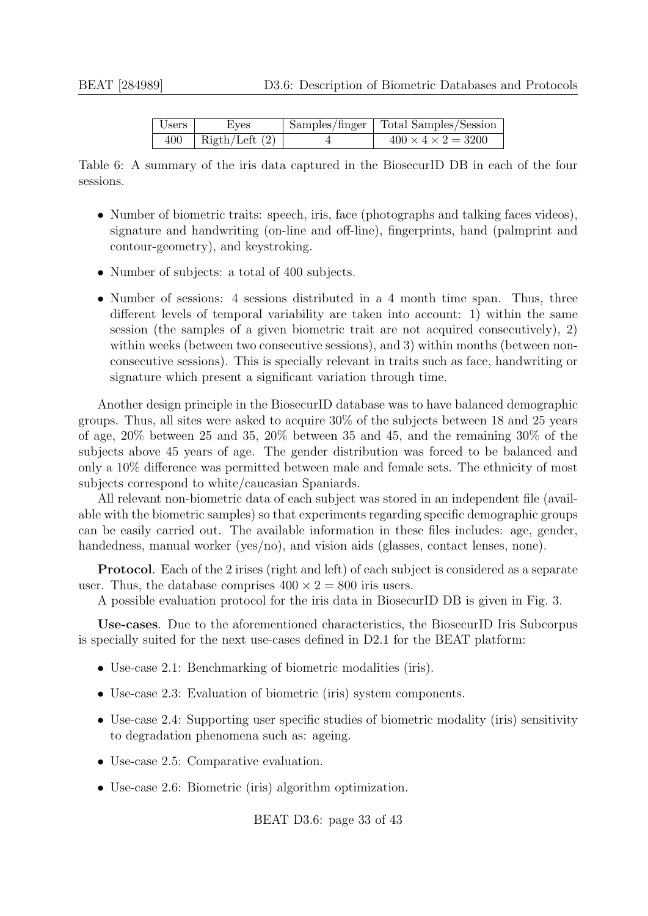<span id="page-32-0"></span>

| l Users | Eyes                     | Samples/finger   Total Samples/Session |
|---------|--------------------------|----------------------------------------|
|         | $400$   Rigth/Left $(2)$ | $400 \times 4 \times 2 = 3200$         |

Table 6: A summary of the iris data captured in the BiosecurID DB in each of the four sessions.

- Number of biometric traits: speech, iris, face (photographs and talking faces videos), signature and handwriting (on-line and off-line), fingerprints, hand (palmprint and contour-geometry), and keystroking.
- Number of subjects: a total of 400 subjects.
- Number of sessions: 4 sessions distributed in a 4 month time span. Thus, three different levels of temporal variability are taken into account: 1) within the same session (the samples of a given biometric trait are not acquired consecutively), 2) within weeks (between two consecutive sessions), and 3) within months (between nonconsecutive sessions). This is specially relevant in traits such as face, handwriting or signature which present a significant variation through time.

Another design principle in the BiosecurID database was to have balanced demographic groups. Thus, all sites were asked to acquire 30% of the subjects between 18 and 25 years of age, 20% between 25 and 35, 20% between 35 and 45, and the remaining 30% of the subjects above 45 years of age. The gender distribution was forced to be balanced and only a 10% difference was permitted between male and female sets. The ethnicity of most subjects correspond to white/caucasian Spaniards.

All relevant non-biometric data of each subject was stored in an independent file (available with the biometric samples) so that experiments regarding specific demographic groups can be easily carried out. The available information in these files includes: age, gender, handedness, manual worker (yes/no), and vision aids (glasses, contact lenses, none).

Protocol. Each of the 2 irises (right and left) of each subject is considered as a separate user. Thus, the database comprises  $400 \times 2 = 800$  iris users.

A possible evaluation protocol for the iris data in BiosecurID DB is given in Fig. [3.](#page-33-0)

Use-cases. Due to the aforementioned characteristics, the BiosecurID Iris Subcorpus is specially suited for the next use-cases defined in D2.1 for the BEAT platform:

- Use-case 2.1: Benchmarking of biometric modalities (iris).
- Use-case 2.3: Evaluation of biometric (iris) system components.
- Use-case 2.4: Supporting user specific studies of biometric modality (iris) sensitivity to degradation phenomena such as: ageing.
- Use-case 2.5: Comparative evaluation.
- Use-case 2.6: Biometric (iris) algorithm optimization.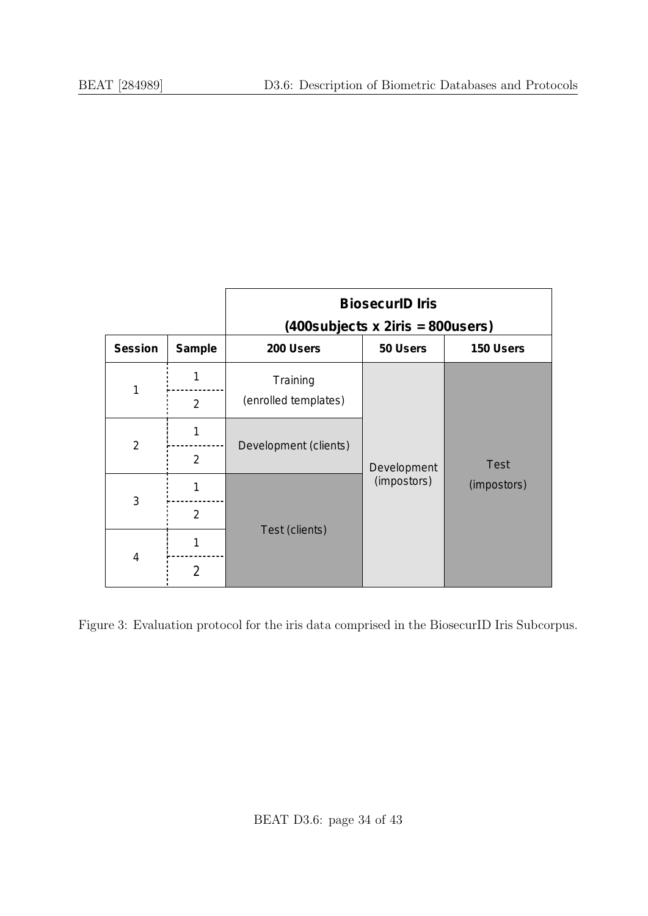|                |                | <b>BiosecurID Iris</b><br>$(400$ subjects x 2iris = 800users) |             |             |  |
|----------------|----------------|---------------------------------------------------------------|-------------|-------------|--|
| <b>Session</b> | <b>Sample</b>  | 200 Users                                                     | 50 Users    | 150 Users   |  |
| 1              | $\overline{2}$ | Training<br>(enrolled templates)                              |             |             |  |
| 2              | 2              | Development (clients)                                         | Development | <b>Test</b> |  |
| 3              | 2              |                                                               | (impostors) | (impostors) |  |
| $\overline{4}$ | $\overline{2}$ | Test (clients)                                                |             |             |  |

<span id="page-33-0"></span>Figure 3: Evaluation protocol for the iris data comprised in the BiosecurID Iris Subcorpus.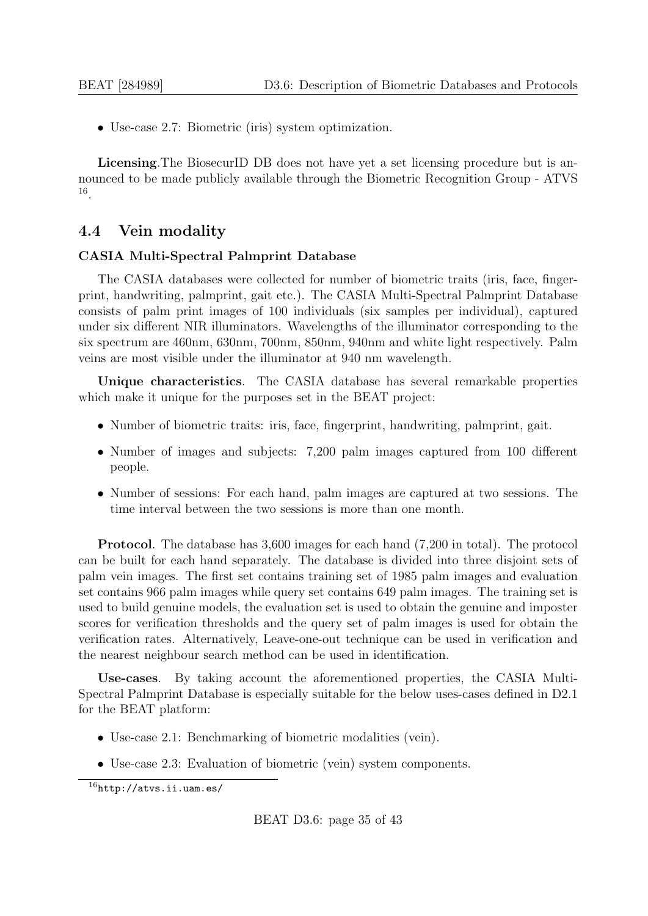• Use-case 2.7: Biometric (iris) system optimization.

Licensing. The BiosecurID DB does not have yet a set licensing procedure but is announced to be made publicly available through the Biometric Recognition Group - ATVS [16](#page-34-1) .

## <span id="page-34-0"></span>4.4 Vein modality

#### CASIA Multi-Spectral Palmprint Database

The CASIA databases were collected for number of biometric traits (iris, face, fingerprint, handwriting, palmprint, gait etc.). The CASIA Multi-Spectral Palmprint Database consists of palm print images of 100 individuals (six samples per individual), captured under six different NIR illuminators. Wavelengths of the illuminator corresponding to the six spectrum are 460nm, 630nm, 700nm, 850nm, 940nm and white light respectively. Palm veins are most visible under the illuminator at 940 nm wavelength.

Unique characteristics. The CASIA database has several remarkable properties which make it unique for the purposes set in the BEAT project:

- Number of biometric traits: iris, face, fingerprint, handwriting, palmprint, gait.
- Number of images and subjects: 7,200 palm images captured from 100 different people.
- Number of sessions: For each hand, palm images are captured at two sessions. The time interval between the two sessions is more than one month.

Protocol. The database has 3,600 images for each hand (7,200 in total). The protocol can be built for each hand separately. The database is divided into three disjoint sets of palm vein images. The first set contains training set of 1985 palm images and evaluation set contains 966 palm images while query set contains 649 palm images. The training set is used to build genuine models, the evaluation set is used to obtain the genuine and imposter scores for verification thresholds and the query set of palm images is used for obtain the verification rates. Alternatively, Leave-one-out technique can be used in verification and the nearest neighbour search method can be used in identification.

Use-cases. By taking account the aforementioned properties, the CASIA Multi-Spectral Palmprint Database is especially suitable for the below uses-cases defined in D2.1 for the BEAT platform:

- Use-case 2.1: Benchmarking of biometric modalities (vein).
- Use-case 2.3: Evaluation of biometric (vein) system components.

<span id="page-34-1"></span> $16$ <http://atvs.ii.uam.es/>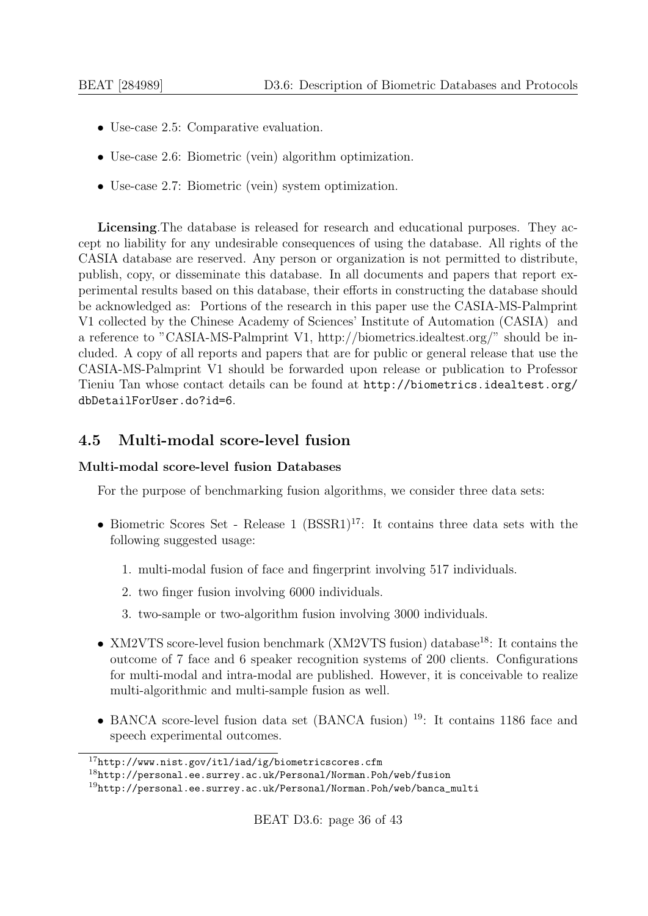- Use-case 2.5: Comparative evaluation.
- Use-case 2.6: Biometric (vein) algorithm optimization.
- Use-case 2.7: Biometric (vein) system optimization.

Licensing.The database is released for research and educational purposes. They accept no liability for any undesirable consequences of using the database. All rights of the CASIA database are reserved. Any person or organization is not permitted to distribute, publish, copy, or disseminate this database. In all documents and papers that report experimental results based on this database, their efforts in constructing the database should be acknowledged as: Portions of the research in this paper use the CASIA-MS-Palmprint V1 collected by the Chinese Academy of Sciences' Institute of Automation (CASIA) and a reference to "CASIA-MS-Palmprint V1, http://biometrics.idealtest.org/" should be included. A copy of all reports and papers that are for public or general release that use the CASIA-MS-Palmprint V1 should be forwarded upon release or publication to Professor Tieniu Tan whose contact details can be found at [http://biometrics.idealtest.org/](http://biometrics.idealtest.org/dbDetailForUser.do?id=6) [dbDetailForUser.do?id=6](http://biometrics.idealtest.org/dbDetailForUser.do?id=6).

## <span id="page-35-0"></span>4.5 Multi-modal score-level fusion

#### Multi-modal score-level fusion Databases

For the purpose of benchmarking fusion algorithms, we consider three data sets:

- Biometric Scores Set Release 1 (BSSR1)<sup>[17](#page-35-1)</sup>: It contains three data sets with the following suggested usage:
	- 1. multi-modal fusion of face and fingerprint involving 517 individuals.
	- 2. two finger fusion involving 6000 individuals.
	- 3. two-sample or two-algorithm fusion involving 3000 individuals.
- XM2VTS score-level fusion benchmark (XM2VTS fusion) database<sup>[18](#page-35-2)</sup>: It contains the outcome of 7 face and 6 speaker recognition systems of 200 clients. Configurations for multi-modal and intra-modal are published. However, it is conceivable to realize multi-algorithmic and multi-sample fusion as well.
- BANCA score-level fusion data set (BANCA fusion)<sup>[19](#page-35-3)</sup>: It contains 1186 face and speech experimental outcomes.

BEAT D3.6: page 36 of [43](#page-38-0)

<span id="page-35-1"></span><sup>17</sup><http://www.nist.gov/itl/iad/ig/biometricscores.cfm>

<span id="page-35-2"></span><sup>18</sup><http://personal.ee.surrey.ac.uk/Personal/Norman.Poh/web/fusion>

<span id="page-35-3"></span> $19$ [http://personal.ee.surrey.ac.uk/Personal/Norman.Poh/web/banca\\_multi](http://personal.ee.surrey.ac.uk/Personal/Norman.Poh/web/banca_multi)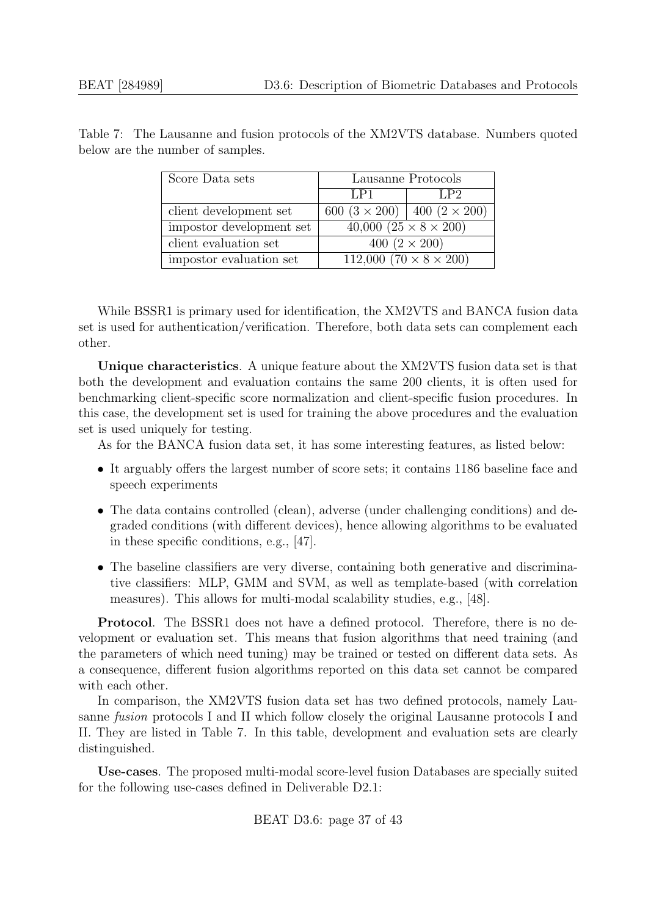| Score Data sets          | Lausanne Protocols                           |                                   |  |
|--------------------------|----------------------------------------------|-----------------------------------|--|
|                          | $L_{\rm P1}$                                 | L.P2                              |  |
| client development set   | $\boxed{600 (3 \times 200)}$   400 (2 × 200) |                                   |  |
| impostor development set |                                              | 40,000 $(25 \times 8 \times 200)$ |  |
| client evaluation set    | 400 $(2 \times 200)$                         |                                   |  |
| impostor evaluation set  | 112,000 $(70 \times 8 \times 200)$           |                                   |  |

<span id="page-36-0"></span>Table 7: The Lausanne and fusion protocols of the XM2VTS database. Numbers quoted below are the number of samples.

While BSSR1 is primary used for identification, the XM2VTS and BANCA fusion data set is used for authentication/verification. Therefore, both data sets can complement each other.

Unique characteristics. A unique feature about the XM2VTS fusion data set is that both the development and evaluation contains the same 200 clients, it is often used for benchmarking client-specific score normalization and client-specific fusion procedures. In this case, the development set is used for training the above procedures and the evaluation set is used uniquely for testing.

As for the BANCA fusion data set, it has some interesting features, as listed below:

- It arguably offers the largest number of score sets; it contains 1186 baseline face and speech experiments
- The data contains controlled (clean), adverse (under challenging conditions) and degraded conditions (with different devices), hence allowing algorithms to be evaluated in these specific conditions, e.g., [\[47\]](#page-42-3).
- The baseline classifiers are very diverse, containing both generative and discriminative classifiers: MLP, GMM and SVM, as well as template-based (with correlation measures). This allows for multi-modal scalability studies, e.g., [\[48\]](#page-42-4).

Protocol. The BSSR1 does not have a defined protocol. Therefore, there is no development or evaluation set. This means that fusion algorithms that need training (and the parameters of which need tuning) may be trained or tested on different data sets. As a consequence, different fusion algorithms reported on this data set cannot be compared with each other.

In comparison, the XM2VTS fusion data set has two defined protocols, namely Lausanne fusion protocols I and II which follow closely the original Lausanne protocols I and II. They are listed in Table [7.](#page-36-0) In this table, development and evaluation sets are clearly distinguished.

Use-cases. The proposed multi-modal score-level fusion Databases are specially suited for the following use-cases defined in Deliverable D2.1:

BEAT D3.6: page 37 of [43](#page-38-0)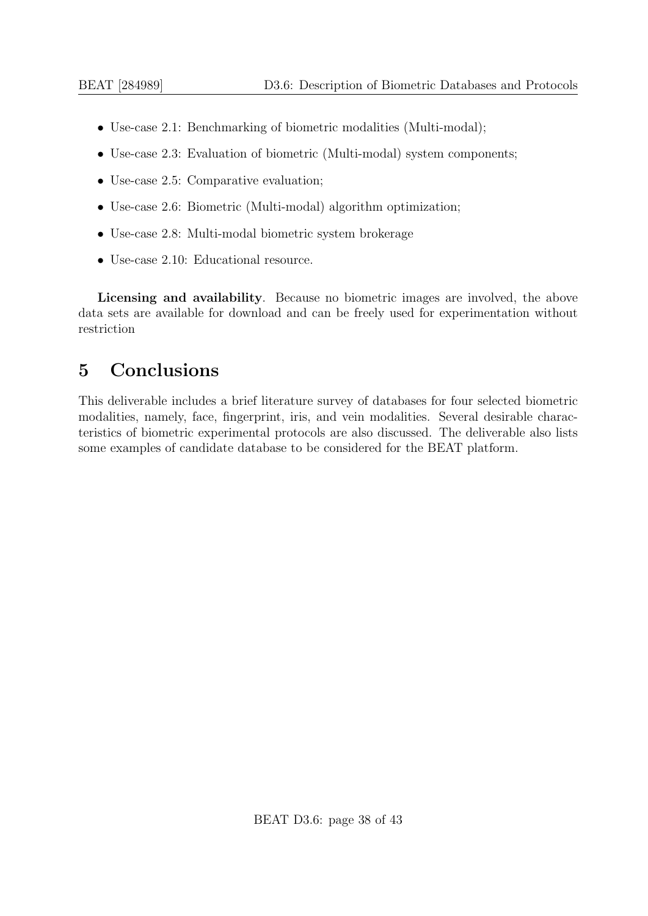- Use-case 2.1: Benchmarking of biometric modalities (Multi-modal);
- Use-case 2.3: Evaluation of biometric (Multi-modal) system components;
- Use-case 2.5: Comparative evaluation;
- Use-case 2.6: Biometric (Multi-modal) algorithm optimization;
- Use-case 2.8: Multi-modal biometric system brokerage
- Use-case 2.10: Educational resource.

Licensing and availability. Because no biometric images are involved, the above data sets are available for download and can be freely used for experimentation without restriction

## <span id="page-37-0"></span>5 Conclusions

This deliverable includes a brief literature survey of databases for four selected biometric modalities, namely, face, fingerprint, iris, and vein modalities. Several desirable characteristics of biometric experimental protocols are also discussed. The deliverable also lists some examples of candidate database to be considered for the BEAT platform.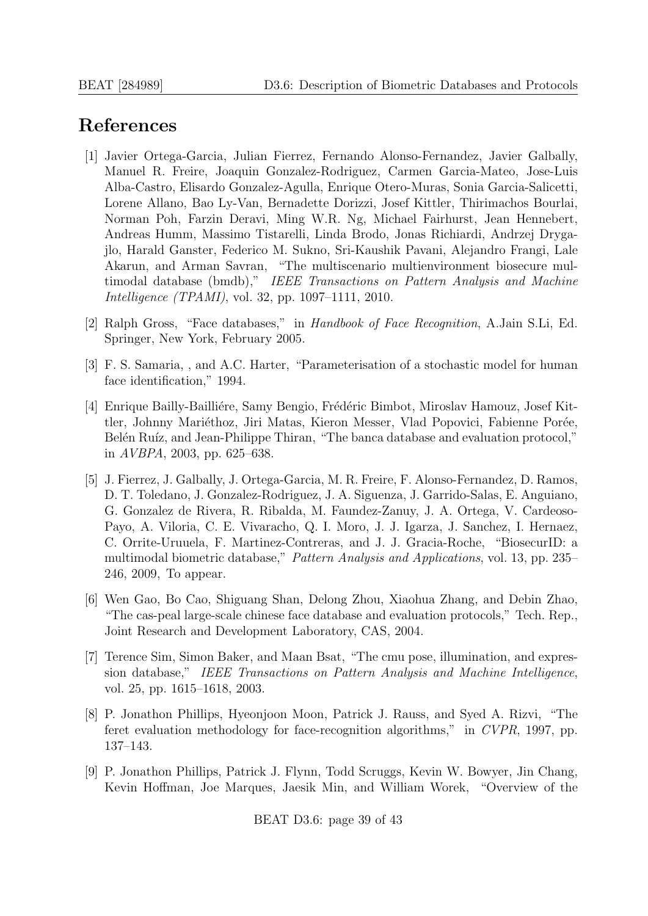# References

- <span id="page-38-1"></span><span id="page-38-0"></span>[1] Javier Ortega-Garcia, Julian Fierrez, Fernando Alonso-Fernandez, Javier Galbally, Manuel R. Freire, Joaquin Gonzalez-Rodriguez, Carmen Garcia-Mateo, Jose-Luis Alba-Castro, Elisardo Gonzalez-Agulla, Enrique Otero-Muras, Sonia Garcia-Salicetti, Lorene Allano, Bao Ly-Van, Bernadette Dorizzi, Josef Kittler, Thirimachos Bourlai, Norman Poh, Farzin Deravi, Ming W.R. Ng, Michael Fairhurst, Jean Hennebert, Andreas Humm, Massimo Tistarelli, Linda Brodo, Jonas Richiardi, Andrzej Drygajlo, Harald Ganster, Federico M. Sukno, Sri-Kaushik Pavani, Alejandro Frangi, Lale Akarun, and Arman Savran, "The multiscenario multienvironment biosecure multimodal database (bmdb)," IEEE Transactions on Pattern Analysis and Machine Intelligence (TPAMI), vol. 32, pp. 1097–1111, 2010.
- <span id="page-38-2"></span>[2] Ralph Gross, "Face databases," in Handbook of Face Recognition, A.Jain S.Li, Ed. Springer, New York, February 2005.
- <span id="page-38-3"></span>[3] F. S. Samaria, , and A.C. Harter, "Parameterisation of a stochastic model for human face identification," 1994.
- <span id="page-38-4"></span>[4] Enrique Bailly-Baillière, Samy Bengio, Frédéric Bimbot, Miroslav Hamouz, Josef Kittler, Johnny Mariéthoz, Jiri Matas, Kieron Messer, Vlad Popovici, Fabienne Porée, Belén Ruíz, and Jean-Philippe Thiran, "The banca database and evaluation protocol," in AVBPA, 2003, pp. 625–638.
- <span id="page-38-5"></span>[5] J. Fierrez, J. Galbally, J. Ortega-Garcia, M. R. Freire, F. Alonso-Fernandez, D. Ramos, D. T. Toledano, J. Gonzalez-Rodriguez, J. A. Siguenza, J. Garrido-Salas, E. Anguiano, G. Gonzalez de Rivera, R. Ribalda, M. Faundez-Zanuy, J. A. Ortega, V. Cardeoso-Payo, A. Viloria, C. E. Vivaracho, Q. I. Moro, J. J. Igarza, J. Sanchez, I. Hernaez, C. Orrite-Uruuela, F. Martinez-Contreras, and J. J. Gracia-Roche, "BiosecurID: a multimodal biometric database," Pattern Analysis and Applications, vol. 13, pp. 235– 246, 2009, To appear.
- <span id="page-38-6"></span>[6] Wen Gao, Bo Cao, Shiguang Shan, Delong Zhou, Xiaohua Zhang, and Debin Zhao, "The cas-peal large-scale chinese face database and evaluation protocols," Tech. Rep., Joint Research and Development Laboratory, CAS, 2004.
- <span id="page-38-7"></span>[7] Terence Sim, Simon Baker, and Maan Bsat, "The cmu pose, illumination, and expression database," IEEE Transactions on Pattern Analysis and Machine Intelligence, vol. 25, pp. 1615–1618, 2003.
- <span id="page-38-8"></span>[8] P. Jonathon Phillips, Hyeonjoon Moon, Patrick J. Rauss, and Syed A. Rizvi, "The feret evaluation methodology for face-recognition algorithms," in CVPR, 1997, pp. 137–143.
- <span id="page-38-9"></span>[9] P. Jonathon Phillips, Patrick J. Flynn, Todd Scruggs, Kevin W. Bowyer, Jin Chang, Kevin Hoffman, Joe Marques, Jaesik Min, and William Worek, "Overview of the

BEAT D3.6: page 39 of [43](#page-38-0)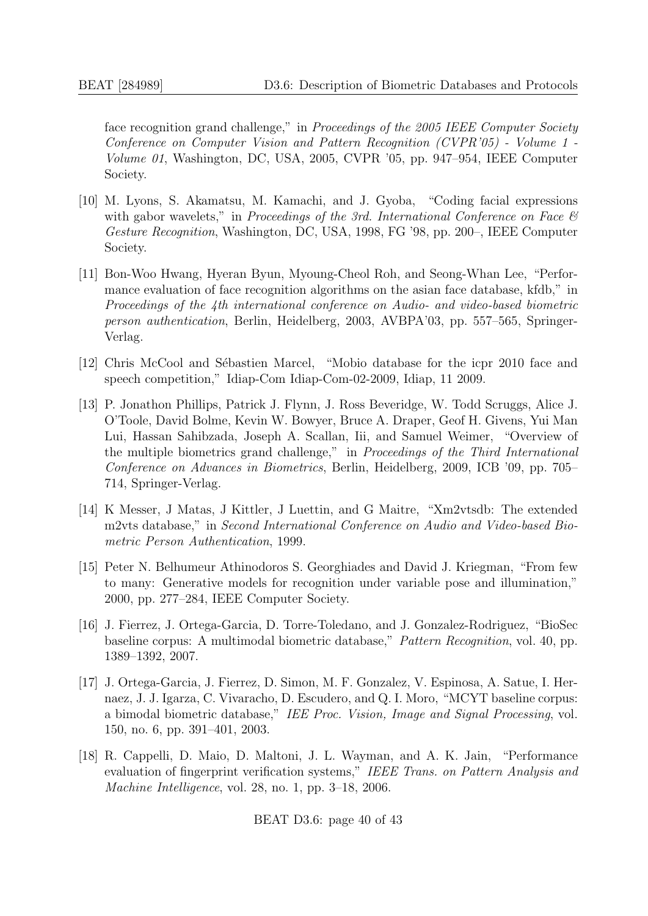face recognition grand challenge," in Proceedings of the 2005 IEEE Computer Society Conference on Computer Vision and Pattern Recognition (CVPR'05) - Volume 1 - Volume 01, Washington, DC, USA, 2005, CVPR '05, pp. 947–954, IEEE Computer Society.

- <span id="page-39-0"></span>[10] M. Lyons, S. Akamatsu, M. Kamachi, and J. Gyoba, "Coding facial expressions with gabor wavelets," in Proceedings of the 3rd. International Conference on Face  $\mathcal{C}$ Gesture Recognition, Washington, DC, USA, 1998, FG '98, pp. 200–, IEEE Computer Society.
- <span id="page-39-1"></span>[11] Bon-Woo Hwang, Hyeran Byun, Myoung-Cheol Roh, and Seong-Whan Lee, "Performance evaluation of face recognition algorithms on the asian face database, kfdb," in Proceedings of the 4th international conference on Audio- and video-based biometric person authentication, Berlin, Heidelberg, 2003, AVBPA'03, pp. 557–565, Springer-Verlag.
- <span id="page-39-2"></span>[12] Chris McCool and Sébastien Marcel, "Mobio database for the icpr 2010 face and speech competition," Idiap-Com Idiap-Com-02-2009, Idiap, 11 2009.
- <span id="page-39-3"></span>[13] P. Jonathon Phillips, Patrick J. Flynn, J. Ross Beveridge, W. Todd Scruggs, Alice J. O'Toole, David Bolme, Kevin W. Bowyer, Bruce A. Draper, Geof H. Givens, Yui Man Lui, Hassan Sahibzada, Joseph A. Scallan, Iii, and Samuel Weimer, "Overview of the multiple biometrics grand challenge," in Proceedings of the Third International Conference on Advances in Biometrics, Berlin, Heidelberg, 2009, ICB '09, pp. 705– 714, Springer-Verlag.
- <span id="page-39-4"></span>[14] K Messer, J Matas, J Kittler, J Luettin, and G Maitre, "Xm2vtsdb: The extended m2vts database," in Second International Conference on Audio and Video-based Biometric Person Authentication, 1999.
- <span id="page-39-5"></span>[15] Peter N. Belhumeur Athinodoros S. Georghiades and David J. Kriegman, "From few to many: Generative models for recognition under variable pose and illumination," 2000, pp. 277–284, IEEE Computer Society.
- <span id="page-39-6"></span>[16] J. Fierrez, J. Ortega-Garcia, D. Torre-Toledano, and J. Gonzalez-Rodriguez, "BioSec baseline corpus: A multimodal biometric database," Pattern Recognition, vol. 40, pp. 1389–1392, 2007.
- <span id="page-39-7"></span>[17] J. Ortega-Garcia, J. Fierrez, D. Simon, M. F. Gonzalez, V. Espinosa, A. Satue, I. Hernaez, J. J. Igarza, C. Vivaracho, D. Escudero, and Q. I. Moro, "MCYT baseline corpus: a bimodal biometric database," IEE Proc. Vision, Image and Signal Processing, vol. 150, no. 6, pp. 391–401, 2003.
- <span id="page-39-8"></span>[18] R. Cappelli, D. Maio, D. Maltoni, J. L. Wayman, and A. K. Jain, "Performance evaluation of fingerprint verification systems," IEEE Trans. on Pattern Analysis and Machine Intelligence, vol. 28, no. 1, pp. 3–18, 2006.

BEAT D3.6: page 40 of [43](#page-38-0)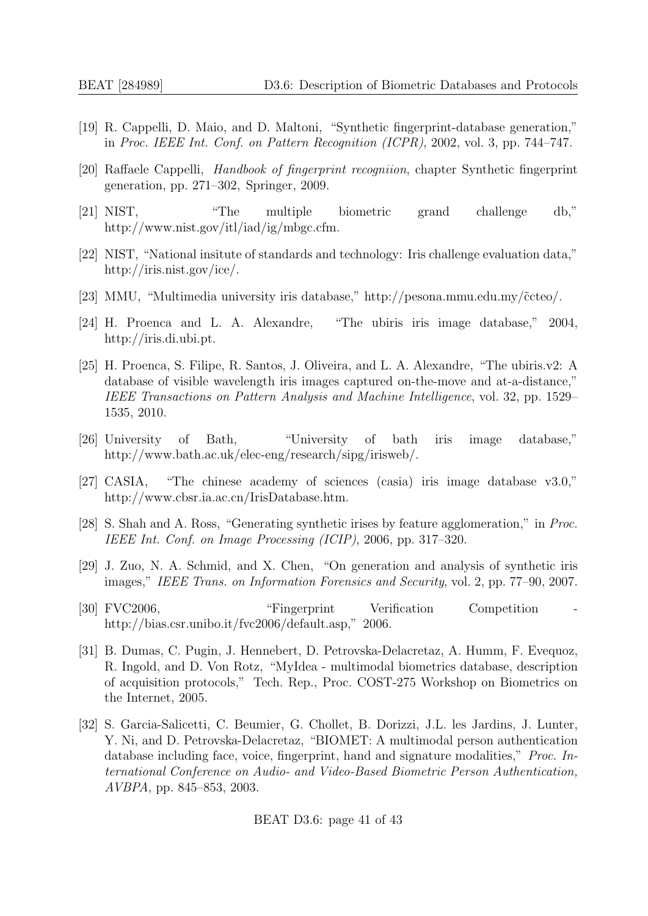- <span id="page-40-0"></span>[19] R. Cappelli, D. Maio, and D. Maltoni, "Synthetic fingerprint-database generation," in Proc. IEEE Int. Conf. on Pattern Recognition (ICPR), 2002, vol. 3, pp. 744–747.
- <span id="page-40-1"></span>[20] Raffaele Cappelli, Handbook of fingerprint recogniion, chapter Synthetic fingerprint generation, pp. 271–302, Springer, 2009.
- <span id="page-40-2"></span>[21] NIST, "The multiple biometric grand challenge db," http://www.nist.gov/itl/iad/ig/mbgc.cfm.
- <span id="page-40-3"></span>[22] NIST, "National insitute of standards and technology: Iris challenge evaluation data," http://iris.nist.gov/ice/.
- <span id="page-40-4"></span>[23] MMU, "Multimedia university iris database," http://pesona.mmu.edu.my/˜ccteo/.
- <span id="page-40-5"></span>[24] H. Proenca and L. A. Alexandre, "The ubiris iris image database," 2004, http://iris.di.ubi.pt.
- <span id="page-40-6"></span>[25] H. Proenca, S. Filipe, R. Santos, J. Oliveira, and L. A. Alexandre, "The ubiris.v2: A database of visible wavelength iris images captured on-the-move and at-a-distance," IEEE Transactions on Pattern Analysis and Machine Intelligence, vol. 32, pp. 1529– 1535, 2010.
- <span id="page-40-7"></span>[26] University of Bath, "University of bath iris image database," http://www.bath.ac.uk/elec-eng/research/sipg/irisweb/.
- <span id="page-40-8"></span>[27] CASIA, "The chinese academy of sciences (casia) iris image database v3.0," http://www.cbsr.ia.ac.cn/IrisDatabase.htm.
- <span id="page-40-9"></span>[28] S. Shah and A. Ross, "Generating synthetic irises by feature agglomeration," in Proc. IEEE Int. Conf. on Image Processing (ICIP), 2006, pp. 317–320.
- <span id="page-40-10"></span>[29] J. Zuo, N. A. Schmid, and X. Chen, "On generation and analysis of synthetic iris images," IEEE Trans. on Information Forensics and Security, vol. 2, pp. 77–90, 2007.
- <span id="page-40-11"></span>[30] FVC2006, "Fingerprint Verification Competition" http://bias.csr.unibo.it/fvc2006/default.asp," 2006.
- <span id="page-40-12"></span>[31] B. Dumas, C. Pugin, J. Hennebert, D. Petrovska-Delacretaz, A. Humm, F. Evequoz, R. Ingold, and D. Von Rotz, "MyIdea - multimodal biometrics database, description of acquisition protocols," Tech. Rep., Proc. COST-275 Workshop on Biometrics on the Internet, 2005.
- <span id="page-40-13"></span>[32] S. Garcia-Salicetti, C. Beumier, G. Chollet, B. Dorizzi, J.L. les Jardins, J. Lunter, Y. Ni, and D. Petrovska-Delacretaz, "BIOMET: A multimodal person authentication database including face, voice, fingerprint, hand and signature modalities," Proc. International Conference on Audio- and Video-Based Biometric Person Authentication, AVBPA, pp. 845–853, 2003.

BEAT D3.6: page 41 of [43](#page-38-0)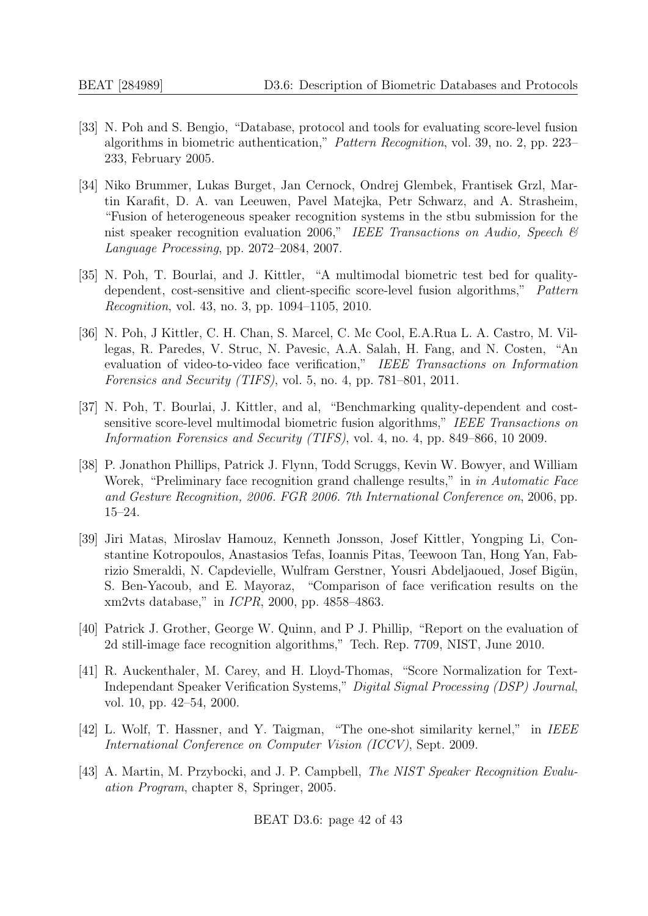- <span id="page-41-0"></span>[33] N. Poh and S. Bengio, "Database, protocol and tools for evaluating score-level fusion algorithms in biometric authentication," Pattern Recognition, vol. 39, no. 2, pp. 223– 233, February 2005.
- <span id="page-41-1"></span>[34] Niko Brummer, Lukas Burget, Jan Cernock, Ondrej Glembek, Frantisek Grzl, Martin Karafit, D. A. van Leeuwen, Pavel Matejka, Petr Schwarz, and A. Strasheim, "Fusion of heterogeneous speaker recognition systems in the stbu submission for the nist speaker recognition evaluation 2006," IEEE Transactions on Audio, Speech  $\mathcal{B}$ Language Processing, pp. 2072–2084, 2007.
- <span id="page-41-2"></span>[35] N. Poh, T. Bourlai, and J. Kittler, "A multimodal biometric test bed for qualitydependent, cost-sensitive and client-specific score-level fusion algorithms," Pattern Recognition, vol. 43, no. 3, pp. 1094–1105, 2010.
- <span id="page-41-3"></span>[36] N. Poh, J Kittler, C. H. Chan, S. Marcel, C. Mc Cool, E.A.Rua L. A. Castro, M. Villegas, R. Paredes, V. Struc, N. Pavesic, A.A. Salah, H. Fang, and N. Costen, "An evaluation of video-to-video face verification," IEEE Transactions on Information Forensics and Security (TIFS), vol. 5, no. 4, pp. 781–801, 2011.
- <span id="page-41-4"></span>[37] N. Poh, T. Bourlai, J. Kittler, and al, "Benchmarking quality-dependent and costsensitive score-level multimodal biometric fusion algorithms," IEEE Transactions on Information Forensics and Security (TIFS), vol. 4, no. 4, pp. 849–866, 10 2009.
- <span id="page-41-5"></span>[38] P. Jonathon Phillips, Patrick J. Flynn, Todd Scruggs, Kevin W. Bowyer, and William Worek, "Preliminary face recognition grand challenge results," in in Automatic Face and Gesture Recognition, 2006. FGR 2006. 7th International Conference on, 2006, pp. 15–24.
- <span id="page-41-6"></span>[39] Jiri Matas, Miroslav Hamouz, Kenneth Jonsson, Josef Kittler, Yongping Li, Constantine Kotropoulos, Anastasios Tefas, Ioannis Pitas, Teewoon Tan, Hong Yan, Fabrizio Smeraldi, N. Capdevielle, Wulfram Gerstner, Yousri Abdeljaoued, Josef Bigün, S. Ben-Yacoub, and E. Mayoraz, "Comparison of face verification results on the xm2vts database," in ICPR, 2000, pp. 4858–4863.
- <span id="page-41-7"></span>[40] Patrick J. Grother, George W. Quinn, and P J. Phillip, "Report on the evaluation of 2d still-image face recognition algorithms," Tech. Rep. 7709, NIST, June 2010.
- <span id="page-41-8"></span>[41] R. Auckenthaler, M. Carey, and H. Lloyd-Thomas, "Score Normalization for Text-Independant Speaker Verification Systems," Digital Signal Processing (DSP) Journal, vol. 10, pp. 42–54, 2000.
- <span id="page-41-9"></span>[42] L. Wolf, T. Hassner, and Y. Taigman, "The one-shot similarity kernel," in IEEE International Conference on Computer Vision (ICCV), Sept. 2009.
- <span id="page-41-10"></span>[43] A. Martin, M. Przybocki, and J. P. Campbell, The NIST Speaker Recognition Evaluation Program, chapter 8, Springer, 2005.

BEAT D3.6: page 42 of [43](#page-38-0)